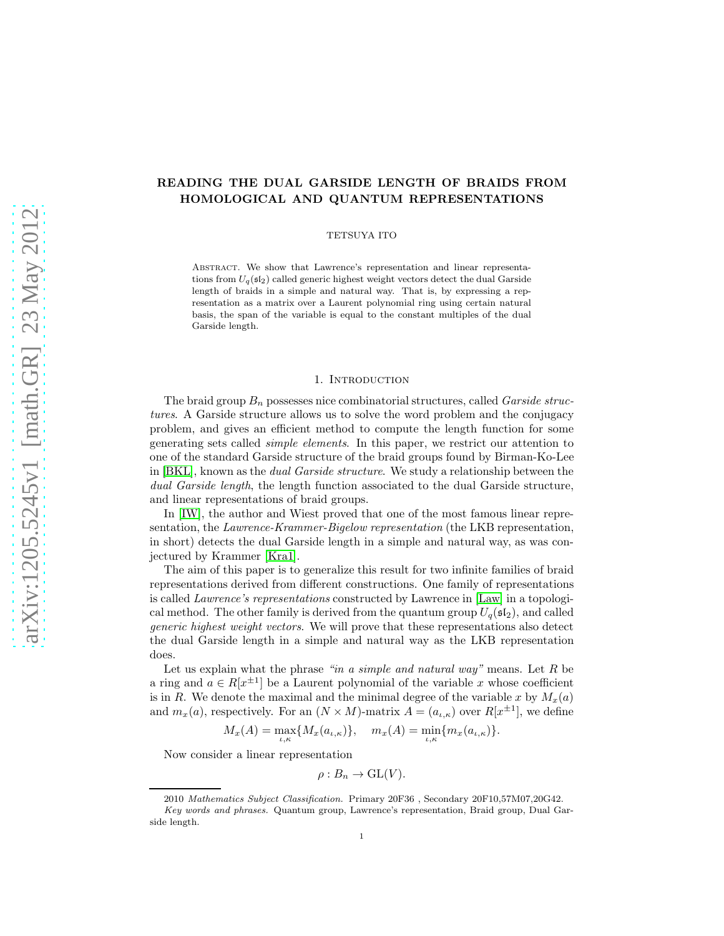# READING THE DUAL GARSIDE LENGTH OF BRAIDS FROM HOMOLOGICAL AND QUANTUM REPRESENTATIONS

## TETSUYA ITO

Abstract. We show that Lawrence's representation and linear representations from  $U_q(\mathfrak{sl}_2)$  called generic highest weight vectors detect the dual Garside length of braids in a simple and natural way. That is, by expressing a representation as a matrix over a Laurent polynomial ring using certain natural basis, the span of the variable is equal to the constant multiples of the dual Garside length.

### 1. INTRODUCTION

The braid group  $B_n$  possesses nice combinatorial structures, called *Garside struc*tures. A Garside structure allows us to solve the word problem and the conjugacy problem, and gives an efficient method to compute the length function for some generating sets called simple elements. In this paper, we restrict our attention to one of the standard Garside structure of the braid groups found by Birman-Ko-Lee in [\[BKL\]](#page-17-0), known as the dual Garside structure. We study a relationship between the dual Garside length, the length function associated to the dual Garside structure, and linear representations of braid groups.

In [\[IW\]](#page-17-1), the author and Wiest proved that one of the most famous linear representation, the *Lawrence-Krammer-Bigelow representation* (the LKB representation, in short) detects the dual Garside length in a simple and natural way, as was conjectured by Krammer [\[Kra1\]](#page-17-2).

The aim of this paper is to generalize this result for two infinite families of braid representations derived from different constructions. One family of representations is called *Lawrence's representations* constructed by Lawrence in [\[Law\]](#page-17-3) in a topological method. The other family is derived from the quantum group  $U_q(\mathfrak{sl}_2)$ , and called generic highest weight vectors. We will prove that these representations also detect the dual Garside length in a simple and natural way as the LKB representation does.

Let us explain what the phrase "in a simple and natural way" means. Let  $R$  be a ring and  $a \in R[x^{\pm 1}]$  be a Laurent polynomial of the variable x whose coefficient is in R. We denote the maximal and the minimal degree of the variable x by  $M_x(a)$ and  $m_x(a)$ , respectively. For an  $(N \times M)$ -matrix  $A = (a_{\iota,\kappa})$  over  $R[x^{\pm 1}]$ , we define

$$
M_x(A) = \max_{\iota,\kappa} \{ M_x(a_{\iota,\kappa}) \}, \quad m_x(A) = \min_{\iota,\kappa} \{ m_x(a_{\iota,\kappa}) \}.
$$

Now consider a linear representation

$$
\rho: B_n \to \mathrm{GL}(V).
$$

<sup>2010</sup> Mathematics Subject Classification. Primary 20F36 , Secondary 20F10,57M07,20G42. Key words and phrases. Quantum group, Lawrence's representation, Braid group, Dual Garside length.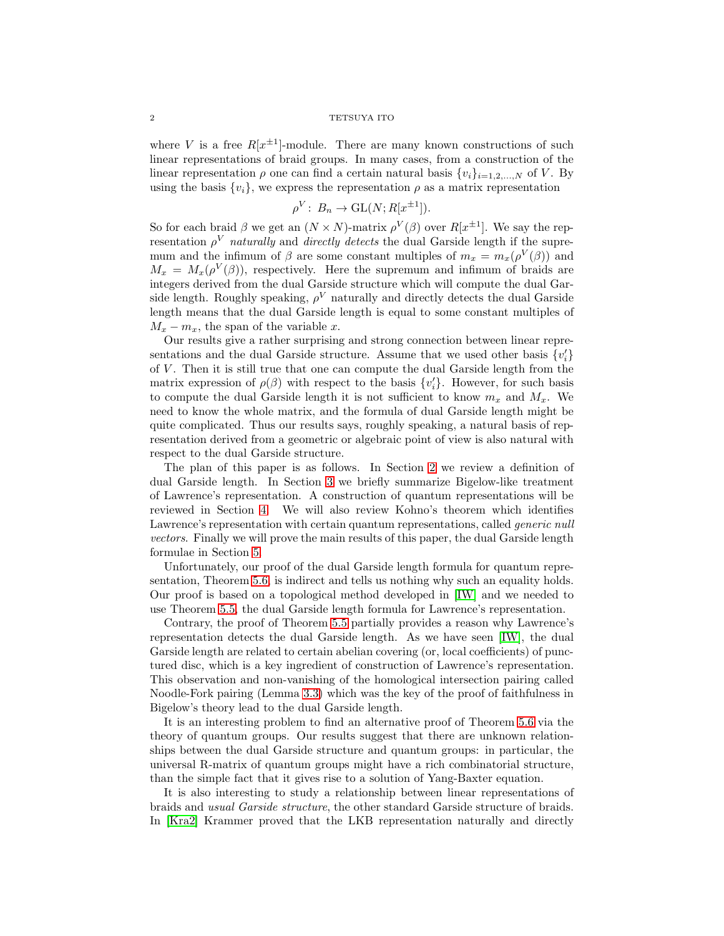## $2\,$  TETSUYA ITO  $\,$

where V is a free  $R[x^{\pm 1}]$ -module. There are many known constructions of such linear representations of braid groups. In many cases, from a construction of the linear representation  $\rho$  one can find a certain natural basis  $\{v_i\}_{i=1,2,\dots,N}$  of V. By using the basis  $\{v_i\}$ , we express the representation  $\rho$  as a matrix representation

$$
\rho^V: B_n \to \mathrm{GL}(N; R[x^{\pm 1}]).
$$

So for each braid  $\beta$  we get an  $(N \times N)$ -matrix  $\rho^V(\beta)$  over  $R[x^{\pm 1}]$ . We say the representation  $\rho^V$  *naturally* and *directly detects* the dual Garside length if the supremum and the infimum of  $\beta$  are some constant multiples of  $m_x = m_x(\rho^V(\beta))$  and  $M_x = M_x(\rho^V(\beta))$ , respectively. Here the supremum and infimum of braids are integers derived from the dual Garside structure which will compute the dual Garside length. Roughly speaking,  $\rho^V$  naturally and directly detects the dual Garside length means that the dual Garside length is equal to some constant multiples of  $M_x - m_x$ , the span of the variable x.

Our results give a rather surprising and strong connection between linear representations and the dual Garside structure. Assume that we used other basis  $\{v_i'\}$ of  $V$ . Then it is still true that one can compute the dual Garside length from the matrix expression of  $\rho(\beta)$  with respect to the basis  $\{v_i'\}$ . However, for such basis to compute the dual Garside length it is not sufficient to know  $m_x$  and  $M_x$ . We need to know the whole matrix, and the formula of dual Garside length might be quite complicated. Thus our results says, roughly speaking, a natural basis of representation derived from a geometric or algebraic point of view is also natural with respect to the dual Garside structure.

The plan of this paper is as follows. In Section [2](#page-2-0) we review a definition of dual Garside length. In Section [3](#page-3-0) we briefly summarize Bigelow-like treatment of Lawrence's representation. A construction of quantum representations will be reviewed in Section [4.](#page-7-0) We will also review Kohno's theorem which identifies Lawrence's representation with certain quantum representations, called *generic null* vectors. Finally we will prove the main results of this paper, the dual Garside length formulae in Section [5.](#page-13-0)

Unfortunately, our proof of the dual Garside length formula for quantum representation, Theorem [5.6,](#page-17-4) is indirect and tells us nothing why such an equality holds. Our proof is based on a topological method developed in [\[IW\]](#page-17-1) and we needed to use Theorem [5.5,](#page-15-0) the dual Garside length formula for Lawrence's representation.

Contrary, the proof of Theorem [5.5](#page-15-0) partially provides a reason why Lawrence's representation detects the dual Garside length. As we have seen [\[IW\]](#page-17-1), the dual Garside length are related to certain abelian covering (or, local coefficients) of punctured disc, which is a key ingredient of construction of Lawrence's representation. This observation and non-vanishing of the homological intersection pairing called Noodle-Fork pairing (Lemma [3.3\)](#page-7-1) which was the key of the proof of faithfulness in Bigelow's theory lead to the dual Garside length.

It is an interesting problem to find an alternative proof of Theorem [5.6](#page-17-4) via the theory of quantum groups. Our results suggest that there are unknown relationships between the dual Garside structure and quantum groups: in particular, the universal R-matrix of quantum groups might have a rich combinatorial structure, than the simple fact that it gives rise to a solution of Yang-Baxter equation.

It is also interesting to study a relationship between linear representations of braids and usual Garside structure, the other standard Garside structure of braids. In [\[Kra2\]](#page-17-5) Krammer proved that the LKB representation naturally and directly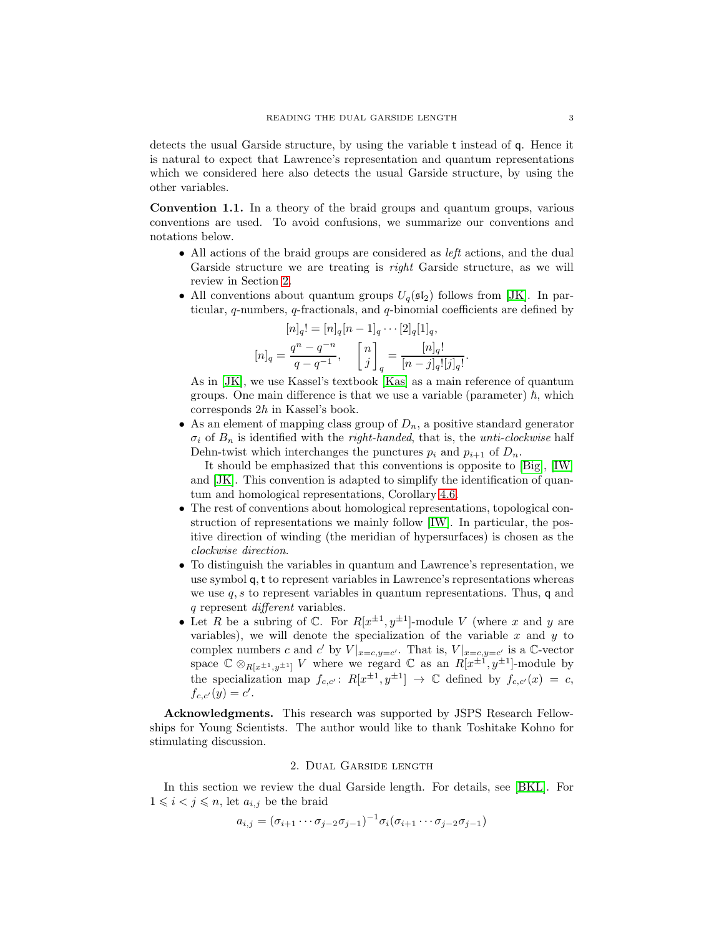detects the usual Garside structure, by using the variable t instead of q. Hence it is natural to expect that Lawrence's representation and quantum representations which we considered here also detects the usual Garside structure, by using the other variables.

Convention 1.1. In a theory of the braid groups and quantum groups, various conventions are used. To avoid confusions, we summarize our conventions and notations below.

- All actions of the braid groups are considered as *left* actions, and the dual Garside structure we are treating is *right* Garside structure, as we will review in Section [2.](#page-2-0)
- All conventions about quantum groups  $U_q(\mathfrak{sl}_2)$  follows from [\[JK\]](#page-17-6). In particular, q-numbers, q-fractionals, and q-binomial coefficients are defined by

$$
[n]_q! = [n]_q [n-1]_q \cdots [2]_q [1]_q,
$$
  

$$
[n]_q = \frac{q^n - q^{-n}}{q - q^{-1}}, \quad \begin{bmatrix} n \\ j \end{bmatrix}_q = \frac{[n]_q!}{[n-j]_q! [j]_q!}.
$$

As in [\[JK\]](#page-17-6), we use Kassel's textbook [\[Kas\]](#page-17-7) as a main reference of quantum groups. One main difference is that we use a variable (parameter)  $\hbar$ , which corresponds 2h in Kassel's book.

• As an element of mapping class group of  $D_n$ , a positive standard generator  $\sigma_i$  of  $B_n$  is identified with the *right-handed*, that is, the *unti-clockwise* half Dehn-twist which interchanges the punctures  $p_i$  and  $p_{i+1}$  of  $D_n$ .

It should be emphasized that this conventions is opposite to [\[Big\]](#page-17-8), [\[IW\]](#page-17-1) and [\[JK\]](#page-17-6). This convention is adapted to simplify the identification of quantum and homological representations, Corollary [4.6.](#page-13-1)

- The rest of conventions about homological representations, topological construction of representations we mainly follow [\[IW\]](#page-17-1). In particular, the positive direction of winding (the meridian of hypersurfaces) is chosen as the clockwise direction.
- To distinguish the variables in quantum and Lawrence's representation, we use symbol q,t to represent variables in Lawrence's representations whereas we use  $q, s$  to represent variables in quantum representations. Thus, q and q represent different variables.
- Let R be a subring of  $\mathbb{C}$ . For  $R[x^{\pm 1}, y^{\pm 1}]$ -module V (where x and y are variables), we will denote the specialization of the variable  $x$  and  $y$  to complex numbers c and c' by  $V|_{x=c,y=c'}$ . That is,  $V|_{x=c,y=c'}$  is a C-vector space  $\mathbb{C} \otimes_{R[x^{\pm 1},y^{\pm 1}]} V$  where we regard  $\mathbb{C}$  as an  $R[x^{\pm 1},y^{\pm 1}]$ -module by the specialization map  $f_{c,c'}: R[x^{\pm 1}, y^{\pm 1}] \to \mathbb{C}$  defined by  $f_{c,c'}(x) = c$ ,  $f_{c,c'}(y) = c'.$

Acknowledgments. This research was supported by JSPS Research Fellowships for Young Scientists. The author would like to thank Toshitake Kohno for stimulating discussion.

## 2. Dual Garside length

<span id="page-2-0"></span>In this section we review the dual Garside length. For details, see [\[BKL\]](#page-17-0). For  $1 \leq i \leq j \leq n$ , let  $a_{i,j}$  be the braid

$$
a_{i,j} = (\sigma_{i+1} \cdots \sigma_{j-2} \sigma_{j-1})^{-1} \sigma_i (\sigma_{i+1} \cdots \sigma_{j-2} \sigma_{j-1})
$$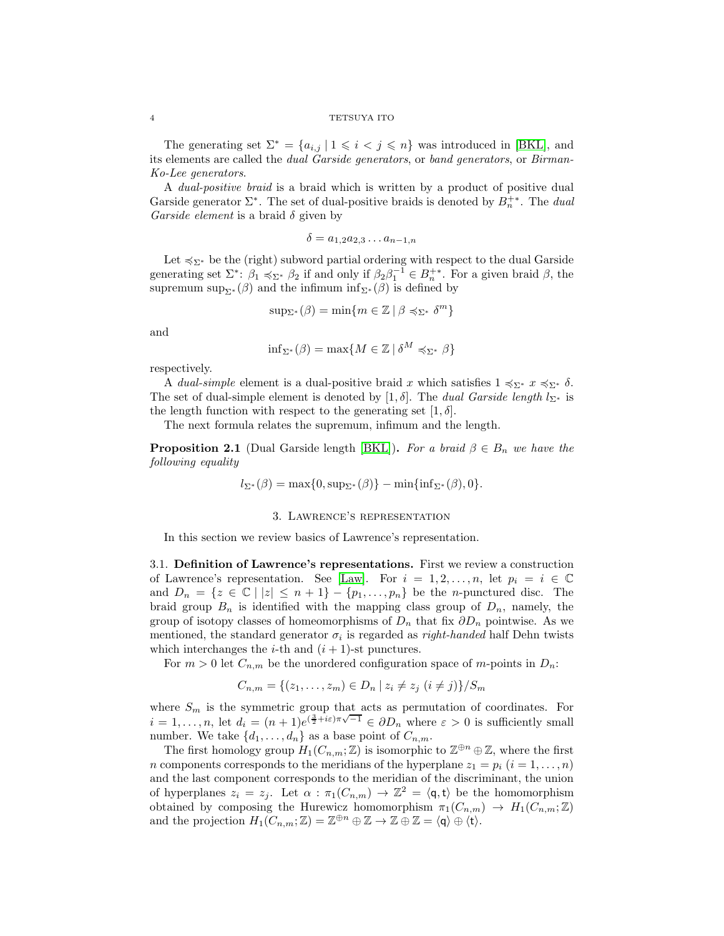The generating set  $\Sigma^* = \{a_{i,j} | 1 \leq i < j \leq n\}$  was introduced in [\[BKL\]](#page-17-0), and its elements are called the dual Garside generators, or band generators, or Birman-Ko-Lee generators.

A dual-positive braid is a braid which is written by a product of positive dual Garside generator  $\Sigma^*$ . The set of dual-positive braids is denoted by  $B_n^{+*}$ . The dual Garside element is a braid  $\delta$  given by

$$
\delta = a_{1,2}a_{2,3}\dots a_{n-1,n}
$$

Let  $\leq \Sigma^*$  be the (right) subword partial ordering with respect to the dual Garside generating set  $\Sigma^*$ :  $\beta_1 \preccurlyeq_{\Sigma^*} \beta_2$  if and only if  $\beta_2 \beta_1^{-1} \in B_n^{+*}$ . For a given braid  $\beta$ , the supremum sup<sub> $\Sigma^*$ </sub> ( $\beta$ ) and the infimum inf<sub>Σ<sup>\*</sub></sup> ( $\beta$ ) is defined by</sub>

$$
\sup_{\Sigma^*} (\beta) = \min\{m \in \mathbb{Z} \mid \beta \preccurlyeq_{\Sigma^*} \delta^m\}
$$

and

$$
\inf_{\Sigma^*} (\beta) = \max\{M \in \mathbb{Z} \mid \delta^M \preccurlyeq_{\Sigma^*} \beta\}
$$

respectively.

A dual-simple element is a dual-positive braid x which satisfies  $1 \leq \Sigma^* x \leq \Sigma^* \delta$ . The set of dual-simple element is denoted by [1,  $\delta$ ]. The *dual Garside length*  $l_{\Sigma^*}$  is the length function with respect to the generating set  $[1, \delta]$ .

The next formula relates the supremum, infimum and the length.

<span id="page-3-1"></span>**Proposition 2.1** (Dual Garside length [\[BKL\]](#page-17-0)). For a braid  $\beta \in B_n$  we have the following equality

$$
l_{\Sigma^*}(\beta) = \max\{0, \sup_{\Sigma^*}(\beta)\} - \min\{\inf_{\Sigma^*}(\beta), 0\}.
$$

### 3. Lawrence's representation

<span id="page-3-0"></span>In this section we review basics of Lawrence's representation.

3.1. Definition of Lawrence's representations. First we review a construction of Lawrence's representation. See [\[Law\]](#page-17-3). For  $i = 1, 2, ..., n$ , let  $p_i = i \in \mathbb{C}$ and  $D_n = \{z \in \mathbb{C} \mid |z| \leq n+1\} - \{p_1, \ldots, p_n\}$  be the *n*-punctured disc. The braid group  $B_n$  is identified with the mapping class group of  $D_n$ , namely, the group of isotopy classes of homeomorphisms of  $D_n$  that fix  $\partial D_n$  pointwise. As we mentioned, the standard generator  $\sigma_i$  is regarded as *right-handed* half Dehn twists which interchanges the *i*-th and  $(i + 1)$ -st punctures.

For  $m > 0$  let  $C_{n,m}$  be the unordered configuration space of m-points in  $D_n$ .

$$
C_{n,m} = \{(z_1, \ldots, z_m) \in D_n \mid z_i \neq z_j \ (i \neq j)\}/S_m
$$

where  $S_m$  is the symmetric group that acts as permutation of coordinates. For  $i = 1, \ldots, n$ , let  $d_i = (n+1)e^{(\frac{3}{2}+i\varepsilon)\pi\sqrt{-1}} \in \partial D_n$  where  $\varepsilon > 0$  is sufficiently small number. We take  $\{d_1, \ldots, d_n\}$  as a base point of  $C_{n,m}$ .

The first homology group  $H_1(C_{n,m}; \mathbb{Z})$  is isomorphic to  $\mathbb{Z}^{\oplus n} \oplus \mathbb{Z}$ , where the first *n* components corresponds to the meridians of the hyperplane  $z_1 = p_i$   $(i = 1, \ldots, n)$ and the last component corresponds to the meridian of the discriminant, the union of hyperplanes  $z_i = z_j$ . Let  $\alpha : \pi_1(C_{n,m}) \to \mathbb{Z}^2 = \langle \mathsf{q}, \mathsf{t} \rangle$  be the homomorphism obtained by composing the Hurewicz homomorphism  $\pi_1(C_{n,m}) \to H_1(C_{n,m}; \mathbb{Z})$ and the projection  $H_1(C_{n,m}; \mathbb{Z}) = \mathbb{Z}^{\oplus n} \oplus \mathbb{Z} \to \mathbb{Z} \oplus \mathbb{Z} = \langle \mathsf{q} \rangle \oplus \langle \mathsf{t} \rangle.$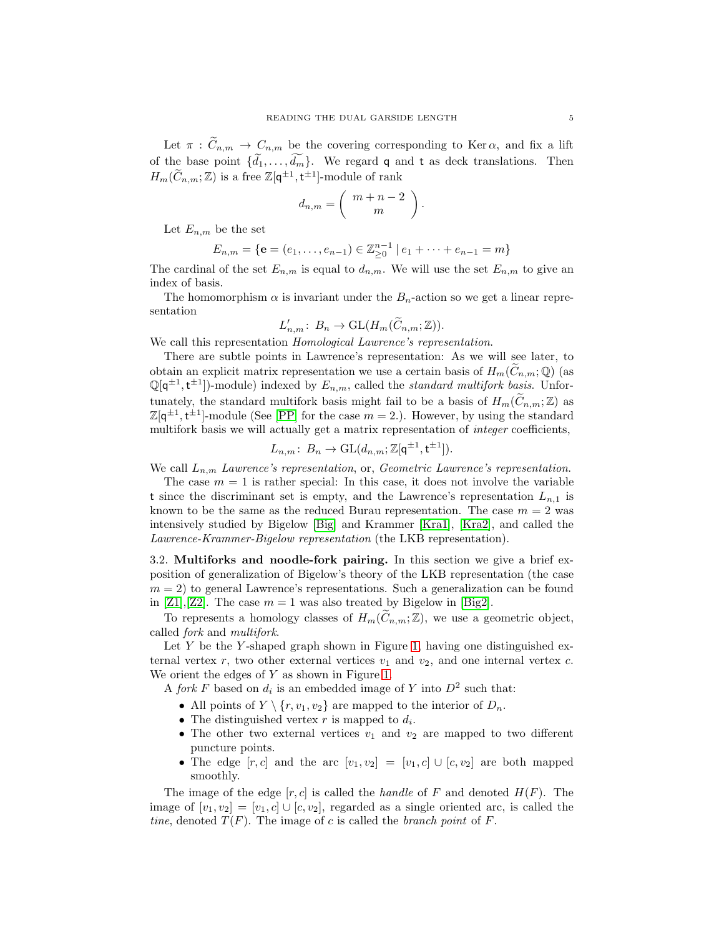Let  $\pi$ :  $C_{n,m} \to C_{n,m}$  be the covering corresponding to Ker  $\alpha$ , and fix a lift of the base point  $\{\widetilde{d}_1, \ldots, \widetilde{d}_m\}$ . We regard q and t as deck translations. Then  $H_m(\widetilde{C}_{n,m}; \mathbb{Z})$  is a free  $\mathbb{Z}[q^{\pm 1}, t^{\pm 1}]$ -module of rank

$$
d_{n,m}=\left(\begin{array}{c}m+n-2\\m\end{array}\right)
$$

.

Let  $E_{n,m}$  be the set

$$
E_{n,m} = \{ \mathbf{e} = (e_1, \dots, e_{n-1}) \in \mathbb{Z}_{\geq 0}^{n-1} \mid e_1 + \dots + e_{n-1} = m \}
$$

The cardinal of the set  $E_{n,m}$  is equal to  $d_{n,m}$ . We will use the set  $E_{n,m}$  to give an index of basis.

The homomorphism  $\alpha$  is invariant under the  $B_n$ -action so we get a linear representation

$$
L'_{n,m}\colon B_n\to \mathrm{GL}(H_m(\tilde{C}_{n,m};\mathbb{Z})).
$$

We call this representation *Homological Lawrence's representation*.

There are subtle points in Lawrence's representation: As we will see later, to obtain an explicit matrix representation we use a certain basis of  $H_m(\tilde{C}_{n,m};\mathbb{Q})$  (as  $\mathbb{Q}[q^{\pm 1}, t^{\pm 1}]$ -module) indexed by  $E_{n,m}$ , called the *standard multifork basis*. Unfortunately, the standard multifork basis might fail to be a basis of  $H_m(\widetilde{C}_{n,m}; \mathbb{Z})$  as  $\mathbb{Z}[q^{\pm 1}, t^{\pm 1}]$ -module (See [\[PP\]](#page-17-9) for the case  $m = 2$ .). However, by using the standard multifork basis we will actually get a matrix representation of *integer* coefficients,

$$
L_{n,m}\colon B_n\to \mathrm{GL}(d_{n,m};\mathbb{Z}[q^{\pm 1},t^{\pm 1}]).
$$

We call  $L_{n,m}$  Lawrence's representation, or, Geometric Lawrence's representation.

The case  $m = 1$  is rather special: In this case, it does not involve the variable t since the discriminant set is empty, and the Lawrence's representation  $L_{n,1}$  is known to be the same as the reduced Burau representation. The case  $m = 2$  was intensively studied by Bigelow [\[Big\]](#page-17-8) and Krammer [\[Kra1\]](#page-17-2), [\[Kra2\]](#page-17-5), and called the Lawrence-Krammer-Bigelow representation (the LKB representation).

3.2. Multiforks and noodle-fork pairing. In this section we give a brief exposition of generalization of Bigelow's theory of the LKB representation (the case  $m = 2$ ) to general Lawrence's representations. Such a generalization can be found in [\[Z1\]](#page-17-10), [\[Z2\]](#page-17-11). The case  $m = 1$  was also treated by Bigelow in [\[Big2\]](#page-17-12).

To represents a homology classes of  $H_m(C_{n,m}; \mathbb{Z})$ , we use a geometric object, called fork and multifork.

Let  $Y$  be the Y-shaped graph shown in Figure [1,](#page-5-0) having one distinguished external vertex r, two other external vertices  $v_1$  and  $v_2$ , and one internal vertex c. We orient the edges of  $Y$  as shown in Figure [1.](#page-5-0)

A fork F based on  $d_i$  is an embedded image of Y into  $D^2$  such that:

- All points of  $Y \setminus \{r, v_1, v_2\}$  are mapped to the interior of  $D_n$ .
- The distinguished vertex  $r$  is mapped to  $d_i$ .
- The other two external vertices  $v_1$  and  $v_2$  are mapped to two different puncture points.
- The edge  $[r, c]$  and the arc  $[v_1, v_2] = [v_1, c] \cup [c, v_2]$  are both mapped smoothly.

The image of the edge  $[r, c]$  is called the *handle* of F and denoted  $H(F)$ . The image of  $[v_1, v_2] = [v_1, c] \cup [c, v_2]$ , regarded as a single oriented arc, is called the tine, denoted  $T(F)$ . The image of c is called the *branch point* of F.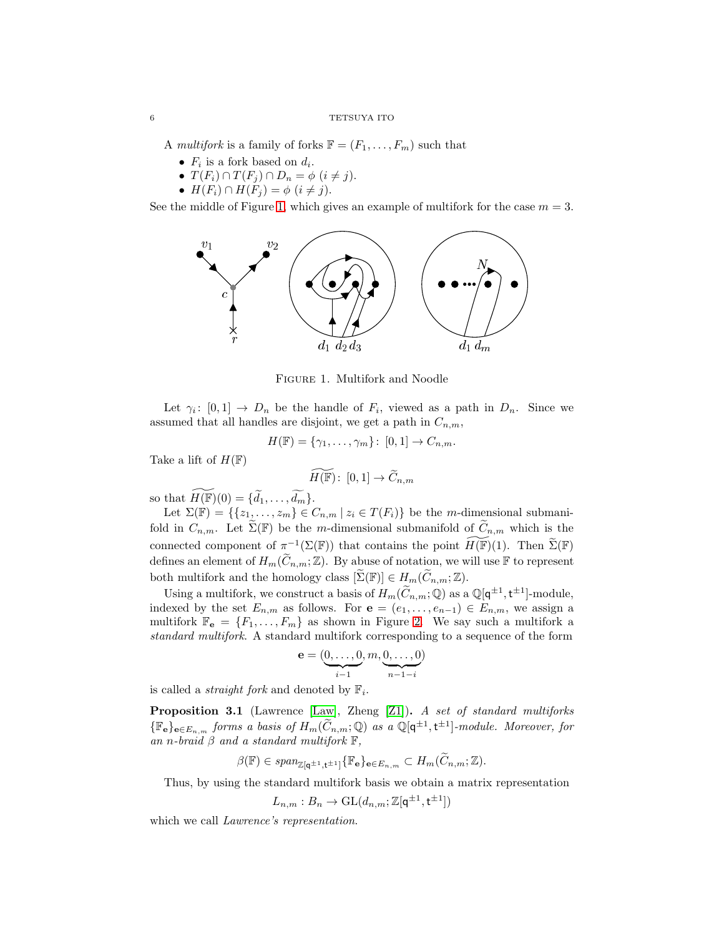A multifork is a family of forks  $\mathbb{F} = (F_1, \ldots, F_m)$  such that

- $F_i$  is a fork based on  $d_i$ .
- $T(F_i) \cap T(F_j) \cap D_n = \phi \ (i \neq j).$
- $H(F_i) \cap H(F_j) = \phi \ (i \neq j).$

See the middle of Figure [1,](#page-5-0) which gives an example of multifork for the case  $m = 3$ .



<span id="page-5-0"></span>Figure 1. Multifork and Noodle

Let  $\gamma_i: [0,1] \to D_n$  be the handle of  $F_i$ , viewed as a path in  $D_n$ . Since we assumed that all handles are disjoint, we get a path in  $C_{n,m}$ ,

$$
H(\mathbb{F}) = {\gamma_1, \ldots, \gamma_m} \colon [0,1] \to C_{n,m}.
$$

Take a lift of  $H(\mathbb{F})$ 

$$
\widetilde{H(\mathbb{F})} \colon [0,1] \to \widetilde{C}_{n,m}
$$

so that  $\widetilde{H(\mathbb{F})}(0) = \{\widetilde{d}_1, \ldots, \widetilde{d}_m\}.$ 

Let  $\Sigma(\mathbb{F}) = \{\{z_1, \ldots, z_m\} \in C_{n,m} \mid z_i \in T(F_i)\}\)$  be the *m*-dimensional submanifold in  $C_{n,m}$ . Let  $\widetilde{\Sigma}(\mathbb{F})$  be the m-dimensional submanifold of  $\widetilde{C}_{n,m}$  which is the connected component of  $\pi^{-1}(\Sigma(\mathbb{F}))$  that contains the point  $\widetilde{H(\mathbb{F})}(1)$ . Then  $\widetilde{\Sigma}(\mathbb{F})$ defines an element of  $H_m(\widetilde{C}_{n,m};\mathbb{Z})$ . By abuse of notation, we will use F to represent both multifork and the homology class  $[\Sigma(\mathbb{F})] \in H_m(\widetilde{C}_{n,m}; \mathbb{Z})$ .

Using a multifork, we construct a basis of  $H_m(\tilde{C}_{n,m}; \mathbb{Q})$  as a  $\mathbb{Q}[q^{\pm 1}, t^{\pm 1}]$ -module, indexed by the set  $E_{n,m}$  as follows. For  $e = (e_1, \ldots, e_{n-1}) \in E_{n,m}$ , we assign a multifork  $\mathbb{F}_e = \{F_1, \ldots, F_m\}$  as shown in Figure [2.](#page-6-0) We say such a multifork a standard multifork. A standard multifork corresponding to a sequence of the form

$$
\mathbf{e} = (\underbrace{0, \dots, 0}_{i-1}, m, \underbrace{0, \dots, 0}_{n-1-i})
$$

is called a *straight fork* and denoted by  $\mathbb{F}_i$ .

Proposition 3.1 (Lawrence [\[Law\]](#page-17-3), Zheng [\[Z1\]](#page-17-10)). A set of standard multiforks  $\{\mathbb{F}_e\}_{e \in E_{n,m}}$  forms a basis of  $H_m(C_{n,m}; \mathbb{Q})$  as a  $\mathbb{Q}[q^{\pm 1}, t^{\pm 1}]$ -module. Moreover, for an n-braid  $\beta$  and a standard multifork  $\mathbb{F}$ ,

$$
\beta(\mathbb{F}) \in \text{span}_{\mathbb{Z}[\mathbf{q}^{\pm 1}, \mathbf{t}^{\pm 1}]} \{\mathbb{F}_\mathbf{e}\}_{\mathbf{e} \in E_{n,m}} \subset H_m(C_{n,m}; \mathbb{Z}).
$$

Thus, by using the standard multifork basis we obtain a matrix representation

$$
L_{n,m}:B_n\to \mathrm{GL}(d_{n,m};\mathbb{Z}[\mathsf{q}^{\pm 1},\mathsf{t}^{\pm 1}])
$$

which we call *Lawrence's representation*.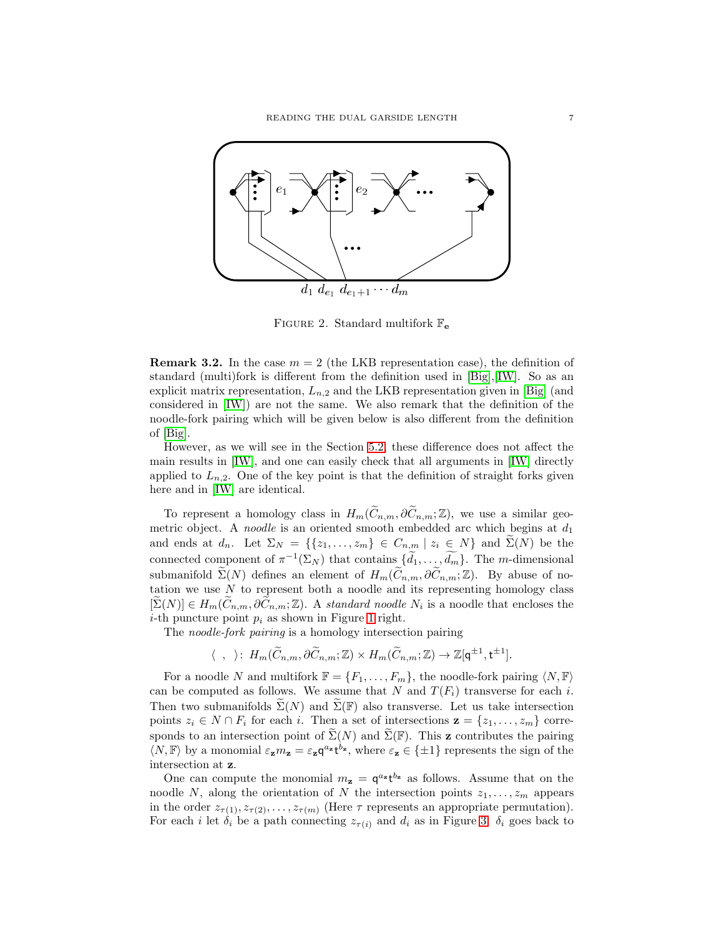

<span id="page-6-0"></span>FIGURE 2. Standard multifork  $\mathbb{F}_e$ 

**Remark 3.2.** In the case  $m = 2$  (the LKB representation case), the definition of standard (multi)fork is different from the definition used in [\[Big\]](#page-17-8),[\[IW\]](#page-17-1). So as an explicit matrix representation,  $L_{n,2}$  and the LKB representation given in [\[Big\]](#page-17-8) (and considered in [\[IW\]](#page-17-1)) are not the same. We also remark that the definition of the noodle-fork pairing which will be given below is also different from the definition of [\[Big\]](#page-17-8).

However, as we will see in the Section [5.2,](#page-15-1) these difference does not affect the main results in [\[IW\]](#page-17-1), and one can easily check that all arguments in [\[IW\]](#page-17-1) directly applied to  $L_{n,2}$ . One of the key point is that the definition of straight forks given here and in [\[IW\]](#page-17-1) are identical.

To represent a homology class in  $H_m(\widetilde{C}_{n,m}, \partial \widetilde{C}_{n,m}; \mathbb{Z})$ , we use a similar geometric object. A *noodle* is an oriented smooth embedded arc which begins at  $d_1$ and ends at  $d_n$ . Let  $\Sigma_N = \{\{z_1, \ldots, z_m\} \in C_{n,m} \mid z_i \in N\}$  and  $\Sigma(N)$  be the connected component of  $\pi^{-1}(\Sigma_N)$  that contains  $\{d_1, \ldots, d_m\}$ . The *m*-dimensional submanifold  $\widetilde{\Sigma}(N)$  defines an element of  $H_m(\widetilde{C}_{n,m}, \partial \widetilde{C}_{n,m}; \mathbb{Z})$ . By abuse of notation we use  $N$  to represent both a noodle and its representing homology class  $[\Sigma(N)] \in H_m(C_{n,m}, \partial C_{n,m}; \mathbb{Z})$ . A standard noodle  $N_i$  is a noodle that encloses the *i*-th puncture point  $p_i$  as shown in Figure [1](#page-5-0) right.

The noodle-fork pairing is a homology intersection pairing

$$
\langle , \rangle : H_m(\widetilde{C}_{n,m}, \partial \widetilde{C}_{n,m}; \mathbb{Z}) \times H_m(\widetilde{C}_{n,m}; \mathbb{Z}) \to \mathbb{Z}[q^{\pm 1}, t^{\pm 1}].
$$

For a noodle N and multifork  $\mathbb{F} = \{F_1, \ldots, F_m\}$ , the noodle-fork pairing  $\langle N, \mathbb{F} \rangle$ can be computed as follows. We assume that N and  $T(F_i)$  transverse for each i. Then two submanifolds  $\Sigma(N)$  and  $\Sigma(\mathbb{F})$  also transverse. Let us take intersection points  $z_i \in N \cap F_i$  for each i. Then a set of intersections  $\mathbf{z} = \{z_1, \ldots, z_m\}$  corresponds to an intersection point of  $\widetilde{\Sigma}(N)$  and  $\widetilde{\Sigma}(\mathbb{F})$ . This **z** contributes the pairing  $\langle N, \mathbb{F} \rangle$  by a monomial  $\varepsilon_z m_z = \varepsilon_z q^{a_z} t^{b_z}$ , where  $\varepsilon_z \in \{\pm 1\}$  represents the sign of the intersection at z.

One can compute the monomial  $m_z = \mathsf{q}^{a_z} \mathsf{t}^{b_z}$  as follows. Assume that on the noodle N, along the orientation of N the intersection points  $z_1, \ldots, z_m$  appears in the order  $z_{\tau(1)}, z_{\tau(2)}, \ldots, z_{\tau(m)}$  (Here  $\tau$  represents an appropriate permutation). For each i let  $\delta_i$  be a path connecting  $z_{\tau(i)}$  and  $d_i$  as in Figure [3:](#page-7-2)  $\delta_i$  goes back to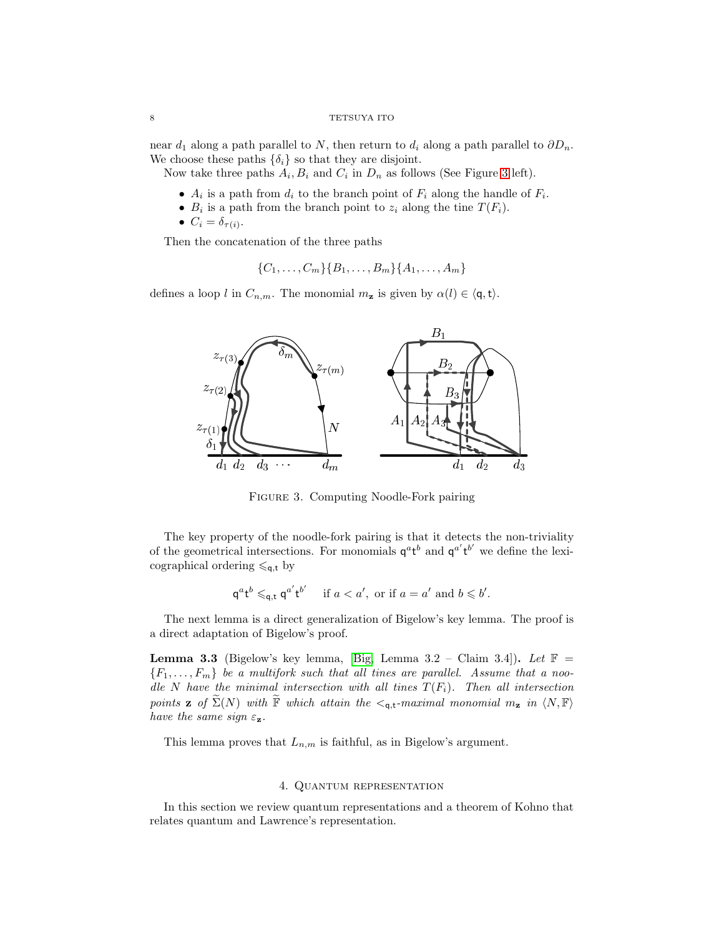near  $d_1$  along a path parallel to N, then return to  $d_i$  along a path parallel to  $\partial D_n$ . We choose these paths  $\{\delta_i\}$  so that they are disjoint.

Now take three paths  $A_i, B_i$  and  $C_i$  in  $D_n$  as follows (See Figure [3](#page-7-2) left).

- $A_i$  is a path from  $d_i$  to the branch point of  $F_i$  along the handle of  $F_i$ .
- $B_i$  is a path from the branch point to  $z_i$  along the tine  $T(F_i)$ .
- $C_i = \delta_{\tau(i)}$ .

Then the concatenation of the three paths

$$
\{C_1, \ldots, C_m\} \{B_1, \ldots, B_m\} \{A_1, \ldots, A_m\}
$$

defines a loop l in  $C_{n,m}$ . The monomial  $m_{\mathbf{z}}$  is given by  $\alpha(l) \in \langle \mathbf{q}, \mathbf{t} \rangle$ .



<span id="page-7-2"></span>Figure 3. Computing Noodle-Fork pairing

The key property of the noodle-fork pairing is that it detects the non-triviality of the geometrical intersections. For monomials  $q^a t^b$  and  $q^{a'} t^{b'}$  we define the lexicographical ordering  $\leqslant_{\mathsf{q},\mathsf{t}}$  by

$$
\mathsf{q}^a \mathsf{t}^b \leqslant_{\mathsf{q},\mathsf{t}} \mathsf{q}^{a'} \mathsf{t}^{b'} \quad \text{ if } a < a', \text{ or if } a = a' \text{ and } b \leqslant b'.
$$

The next lemma is a direct generalization of Bigelow's key lemma. The proof is a direct adaptation of Bigelow's proof.

<span id="page-7-1"></span>**Lemma 3.3** (Bigelow's key lemma, [\[Big,](#page-17-8) Lemma 3.2 – Claim 3.4]). Let  $\mathbb{F}$  =  ${F_1, \ldots, F_m}$  be a multifork such that all tines are parallel. Assume that a noodle N have the minimal intersection with all tines  $T(F_i)$ . Then all intersection points **z** of  $\widetilde{\Sigma}(N)$  with  $\widetilde{\mathbb{F}}$  which attain the  $\lt_{q,t}$ -maximal monomial  $m_z$  in  $\langle N, \mathbb{F} \rangle$ have the same sign  $\varepsilon_{z}$ .

This lemma proves that  $L_{n,m}$  is faithful, as in Bigelow's argument.

## 4. Quantum representation

<span id="page-7-0"></span>In this section we review quantum representations and a theorem of Kohno that relates quantum and Lawrence's representation.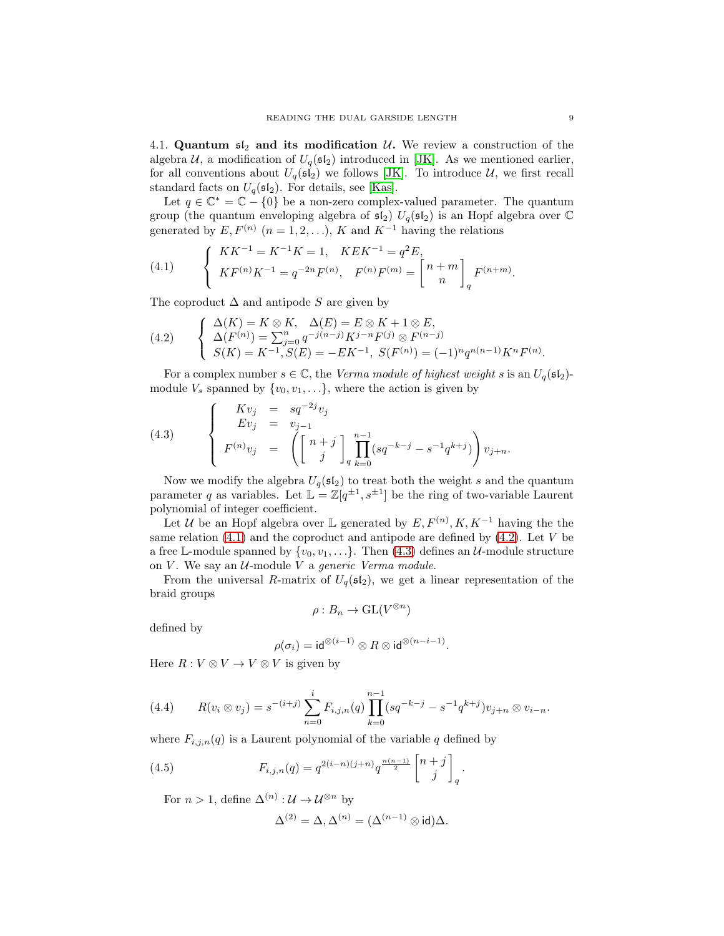4.1. Quantum  $\mathfrak{sl}_2$  and its modification U. We review a construction of the algebra  $U$ , a modification of  $U_q(\mathfrak{sl}_2)$  introduced in [\[JK\]](#page-17-6). As we mentioned earlier, for all conventions about  $U_q(\mathfrak{sl}_2)$  we follows [\[JK\]](#page-17-6). To introduce  $\mathcal U$ , we first recall standard facts on  $U_q(\mathfrak{sl}_2)$ . For details, see [\[Kas\]](#page-17-7).

Let  $q \in \mathbb{C}^* = \mathbb{C} - \{0\}$  be a non-zero complex-valued parameter. The quantum group (the quantum enveloping algebra of  $\mathfrak{sl}_2$ )  $U_q(\mathfrak{sl}_2)$  is an Hopf algebra over  $\mathbb C$ generated by  $E, F^{(n)}$   $(n = 1, 2, \ldots), K$  and  $K^{-1}$  having the relations

<span id="page-8-0"></span>(4.1) 
$$
\begin{cases} KK^{-1} = K^{-1}K = 1, \quad KEK^{-1} = q^2E, \\ KF^{(n)}K^{-1} = q^{-2n}F^{(n)}, \quad F^{(n)}F^{(m)} = \begin{bmatrix} n+m \\ n \end{bmatrix}_q F^{(n+m)}.
$$

The coproduct  $\Delta$  and antipode S are given by

<span id="page-8-1"></span>(4.2) 
$$
\begin{cases} \Delta(K) = K \otimes K, & \Delta(E) = E \otimes K + 1 \otimes E, \\ \Delta(F^{(n)}) = \sum_{j=0}^{n} q^{-j(n-j)} K^{j-n} F^{(j)} \otimes F^{(n-j)} \\ S(K) = K^{-1}, S(E) = -E K^{-1}, S(F^{(n)}) = (-1)^n q^{n(n-1)} K^n F^{(n)}. \end{cases}
$$

For a complex number  $s \in \mathbb{C}$ , the *Verma module of highest weight* s is an  $U_q(\mathfrak{sl}_2)$ module  $V_s$  spanned by  $\{v_0, v_1, \ldots\}$ , where the action is given by

<span id="page-8-2"></span>(4.3) 
$$
\begin{cases}\nKv_j = sq^{-2j}v_j \\
Ev_j = v_{j-1} \\
F^{(n)}v_j = \left( \begin{bmatrix} n+j \\ j \end{bmatrix}_q \prod_{k=0}^{n-1} (sq^{-k-j} - s^{-1}q^{k+j}) \right) v_{j+n}.\n\end{cases}
$$

Now we modify the algebra  $U_q(\mathfrak{sl}_2)$  to treat both the weight s and the quantum parameter q as variables. Let  $\mathbb{L} = \mathbb{Z}[q^{\pm 1}, s^{\pm 1}]$  be the ring of two-variable Laurent polynomial of integer coefficient.

Let U be an Hopf algebra over  $\mathbb L$  generated by  $E, F^{(n)}, K, K^{-1}$  having the the same relation  $(4.1)$  and the coproduct and antipode are defined by  $(4.2)$ . Let V be a free L-module spanned by  $\{v_0, v_1, \ldots\}$ . Then [\(4.3\)](#page-8-2) defines an U-module structure on  $V$ . We say an  $U$ -module  $V$  a generic Verma module.

From the universal R-matrix of  $U_q(\mathfrak{sl}_2)$ , we get a linear representation of the braid groups

$$
\rho:B_n\to \mathrm{GL}(V^{\otimes n})
$$

defined by

$$
\rho(\sigma_i) = \mathsf{id}^{\otimes (i-1)} \otimes R \otimes \mathsf{id}^{\otimes (n-i-1)}.
$$

Here  $R: V \otimes V \to V \otimes V$  is given by

<span id="page-8-3"></span>(4.4) 
$$
R(v_i \otimes v_j) = s^{-(i+j)} \sum_{n=0}^i F_{i,j,n}(q) \prod_{k=0}^{n-1} (sq^{-k-j} - s^{-1}q^{k+j}) v_{j+n} \otimes v_{i-n}.
$$

where  $F_{i,j,n}(q)$  is a Laurent polynomial of the variable q defined by

(4.5) 
$$
F_{i,j,n}(q) = q^{2(i-n)(j+n)} q^{\frac{n(n-1)}{2}} {n+j \brack j}_q.
$$

For  $n > 1$ , define  $\Delta^{(n)} : \mathcal{U} \to \mathcal{U}^{\otimes n}$  by

<span id="page-8-4"></span>
$$
\Delta^{(2)} = \Delta, \Delta^{(n)} = (\Delta^{(n-1)} \otimes \mathrm{id})\Delta.
$$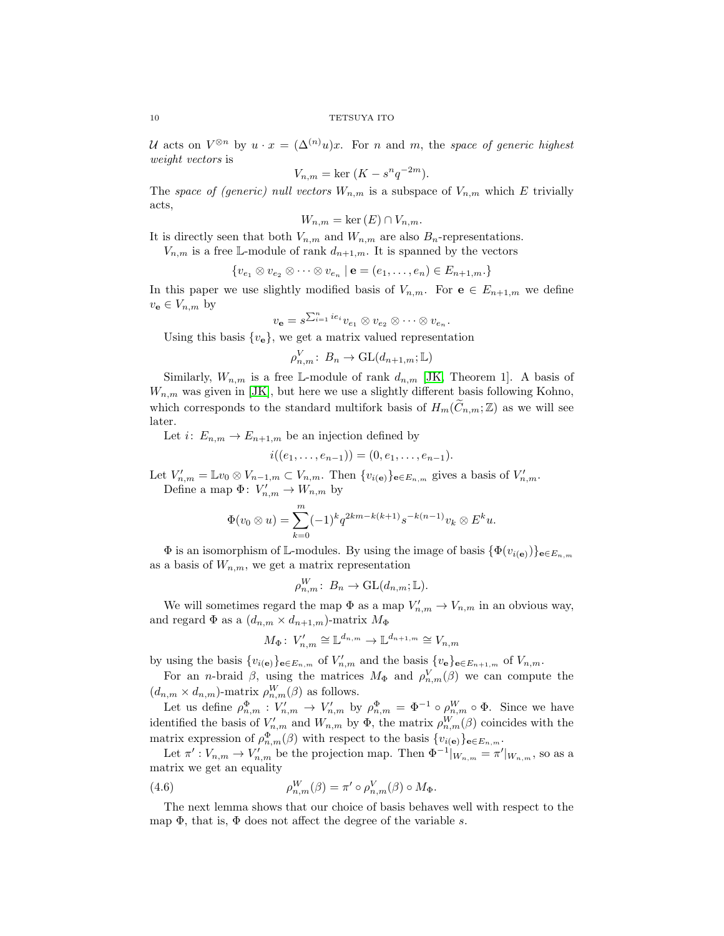U acts on  $V^{\otimes n}$  by  $u \cdot x = (\Delta^{(n)}u)x$ . For n and m, the space of generic highest weight vectors is

$$
V_{n,m} = \ker (K - s^n q^{-2m}).
$$

The space of (generic) null vectors  $W_{n,m}$  is a subspace of  $V_{n,m}$  which E trivially acts,

$$
W_{n,m} = \ker(E) \cap V_{n,m}.
$$

It is directly seen that both  $V_{n,m}$  and  $W_{n,m}$  are also  $B_n$ -representations.

 $V_{n,m}$  is a free L-module of rank  $d_{n+1,m}$ . It is spanned by the vectors

$$
\{v_{e_1}\otimes v_{e_2}\otimes \cdots \otimes v_{e_n}\mid \mathbf{e}=(e_1,\ldots,e_n)\in E_{n+1,m}\}
$$

In this paper we use slightly modified basis of  $V_{n,m}$ . For  $e \in E_{n+1,m}$  we define  $v_{\mathbf{e}} \in V_{n,m}$  by

$$
v_{\mathbf{e}} = s^{\sum_{i=1}^{n} i e_i} v_{e_1} \otimes v_{e_2} \otimes \cdots \otimes v_{e_n}.
$$

Using this basis  $\{v_{\mathbf{e}}\}$ , we get a matrix valued representation

$$
\rho_{n,m}^V: B_n \to \mathrm{GL}(d_{n+1,m}; \mathbb{L})
$$

Similarly,  $W_{n,m}$  is a free L-module of rank  $d_{n,m}$  [\[JK,](#page-17-6) Theorem 1]. A basis of  $W_{n,m}$  was given in [\[JK\]](#page-17-6), but here we use a slightly different basis following Kohno, which corresponds to the standard multifork basis of  $H_m(\widetilde{C}_{n,m};\mathbb{Z})$  as we will see later.

Let  $i: E_{n,m} \to E_{n+1,m}$  be an injection defined by

$$
i((e_1,\ldots,e_{n-1}))=(0,e_1,\ldots,e_{n-1}).
$$

Let  $V'_{n,m} = \mathbb{L}v_0 \otimes V_{n-1,m} \subset V_{n,m}$ . Then  $\{v_{i(\mathbf{e})}\}_{\mathbf{e}\in E_{n,m}}$  gives a basis of  $V'_{n,m}$ . Define a map  $\Phi: V'_{n,m} \to W_{n,m}$  by

$$
\Phi(v_0 \otimes u) = \sum_{k=0}^m (-1)^k q^{2km - k(k+1)} s^{-k(n-1)} v_k \otimes E^k u.
$$

 $\Phi$  is an isomorphism of L-modules. By using the image of basis  $\{\Phi(v_{i(\mathbf{e})})\}_{\mathbf{e}\in E_{n,m}}$ as a basis of  $W_{n,m}$ , we get a matrix representation

$$
\rho_{n,m}^W: B_n \to \mathrm{GL}(d_{n,m}; \mathbb{L}).
$$

We will sometimes regard the map  $\Phi$  as a map  $V'_{n,m} \to V_{n,m}$  in an obvious way, and regard  $\Phi$  as a  $(d_{n,m} \times d_{n+1,m})$ -matrix  $M_{\Phi}$ 

$$
M_{\Phi}: V'_{n,m} \cong \mathbb{L}^{d_{n,m}} \to \mathbb{L}^{d_{n+1,m}} \cong V_{n,m}
$$

by using the basis  $\{v_{i(\mathbf{e})}\}_{\mathbf{e}\in E_{n,m}}$  of  $V'_{n,m}$  and the basis  $\{v_{\mathbf{e}}\}_{\mathbf{e}\in E_{n+1,m}}$  of  $V_{n,m}$ .

For an *n*-braid  $\beta$ , using the matrices  $M_{\Phi}$  and  $\rho_{n,m}^V(\beta)$  we can compute the  $(d_{n,m} \times d_{n,m})$ -matrix  $\rho_{n,m}^W(\beta)$  as follows.

Let us define  $\rho_{n,m}^{\Phi}: V'_{n,m} \to V'_{n,m}$  by  $\rho_{n,m}^{\Phi} = \Phi^{-1} \circ \rho_{n,m}^W \circ \Phi$ . Since we have identified the basis of  $V'_{n,m}$  and  $W_{n,m}$  by  $\Phi$ , the matrix  $\rho_{n,m}^W(\beta)$  coincides with the matrix expression of  $\rho_{n,m}^{\Phi}(\beta)$  with respect to the basis  $\{v_{i(\mathbf{e})}\}_{\mathbf{e}\in E_{n,m}}$ .

Let  $\pi': V_{n,m} \to V'_{n,m}$  be the projection map. Then  $\Phi^{-1}|_{W_{n,m}} = \pi'|_{W_{n,m}}$ , so as a matrix we get an equality

<span id="page-9-0"></span>(4.6) 
$$
\rho_{n,m}^W(\beta) = \pi' \circ \rho_{n,m}^V(\beta) \circ M_{\Phi}.
$$

The next lemma shows that our choice of basis behaves well with respect to the map  $\Phi$ , that is,  $\Phi$  does not affect the degree of the variable s.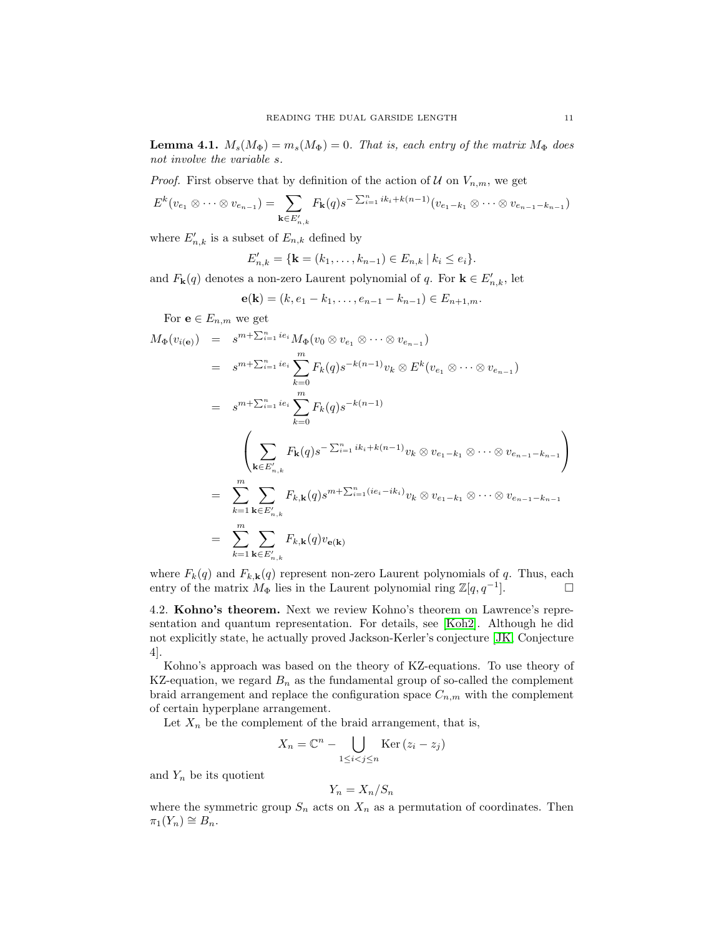<span id="page-10-0"></span>**Lemma 4.1.**  $M_s(M_{\Phi}) = m_s(M_{\Phi}) = 0$ . That is, each entry of the matrix  $M_{\Phi}$  does not involve the variable s.

*Proof.* First observe that by definition of the action of  $U$  on  $V_{n,m}$ , we get

$$
E^{k}(v_{e_1} \otimes \cdots \otimes v_{e_{n-1}}) = \sum_{\mathbf{k} \in E'_{n,k}} F_{\mathbf{k}}(q) s^{-\sum_{i=1}^{n} i k_i + k(n-1)} (v_{e_1 - k_1} \otimes \cdots \otimes v_{e_{n-1} - k_{n-1}})
$$

where  $E'_{n,k}$  is a subset of  $E_{n,k}$  defined by

$$
E'_{n,k} = \{ \mathbf{k} = (k_1, \ldots, k_{n-1}) \in E_{n,k} \mid k_i \leq e_i \}.
$$

and  $F_{\mathbf{k}}(q)$  denotes a non-zero Laurent polynomial of q. For  $\mathbf{k} \in E'_{n,k}$ , let

$$
\mathbf{e}(\mathbf{k})=(k,e_1-k_1,\ldots,e_{n-1}-k_{n-1})\in E_{n+1,m}.
$$

For  $e \in E_{n,m}$  we get

$$
M_{\Phi}(v_{i(\mathbf{e})}) = s^{m + \sum_{i=1}^{n} ie_i} M_{\Phi}(v_0 \otimes v_{e_1} \otimes \cdots \otimes v_{e_{n-1}})
$$
  
\n
$$
= s^{m + \sum_{i=1}^{n} ie_i} \sum_{k=0}^{m} F_k(q) s^{-k(n-1)} v_k \otimes E^k(v_{e_1} \otimes \cdots \otimes v_{e_{n-1}})
$$
  
\n
$$
= s^{m + \sum_{i=1}^{n} ie_i} \sum_{k=0}^{m} F_k(q) s^{-k(n-1)}
$$
  
\n
$$
\left(\sum_{\mathbf{k} \in E'_{n,k}} F_{\mathbf{k}}(q) s^{-\sum_{i=1}^{n} ik_i + k(n-1)} v_k \otimes v_{e_1 - k_1} \otimes \cdots \otimes v_{e_{n-1} - k_{n-1}}\right)
$$
  
\n
$$
= \sum_{k=1}^{m} \sum_{\mathbf{k} \in E'_{n,k}} F_{k,\mathbf{k}}(q) s^{m + \sum_{i=1}^{n} (ie_i - ik_i)} v_k \otimes v_{e_1 - k_1} \otimes \cdots \otimes v_{e_{n-1} - k_{n-1}}
$$
  
\n
$$
= \sum_{k=1}^{m} \sum_{\mathbf{k} \in E'_{n,k}} F_{k,\mathbf{k}}(q) v_{\mathbf{e}(\mathbf{k})}
$$

where  $F_k(q)$  and  $F_{k,k}(q)$  represent non-zero Laurent polynomials of q. Thus, each entry of the matrix  $M_{\Phi}$  lies in the Laurent polynomial ring  $\mathbb{Z}[q, q^{-1}]$ .  $\Box$ 

4.2. Kohno's theorem. Next we review Kohno's theorem on Lawrence's representation and quantum representation. For details, see [\[Koh2\]](#page-17-13). Although he did not explicitly state, he actually proved Jackson-Kerler's conjecture [\[JK,](#page-17-6) Conjecture 4].

Kohno's approach was based on the theory of KZ-equations. To use theory of KZ-equation, we regard  $B_n$  as the fundamental group of so-called the complement braid arrangement and replace the configuration space  $C_{n,m}$  with the complement of certain hyperplane arrangement.

Let  $X_n$  be the complement of the braid arrangement, that is,

$$
X_n = \mathbb{C}^n - \bigcup_{1 \le i < j \le n} \text{Ker}(z_i - z_j)
$$

and  $Y_n$  be its quotient

$$
Y_n = X_n / S_n
$$

where the symmetric group  $S_n$  acts on  $X_n$  as a permutation of coordinates. Then  $\pi_1(Y_n) \cong B_n.$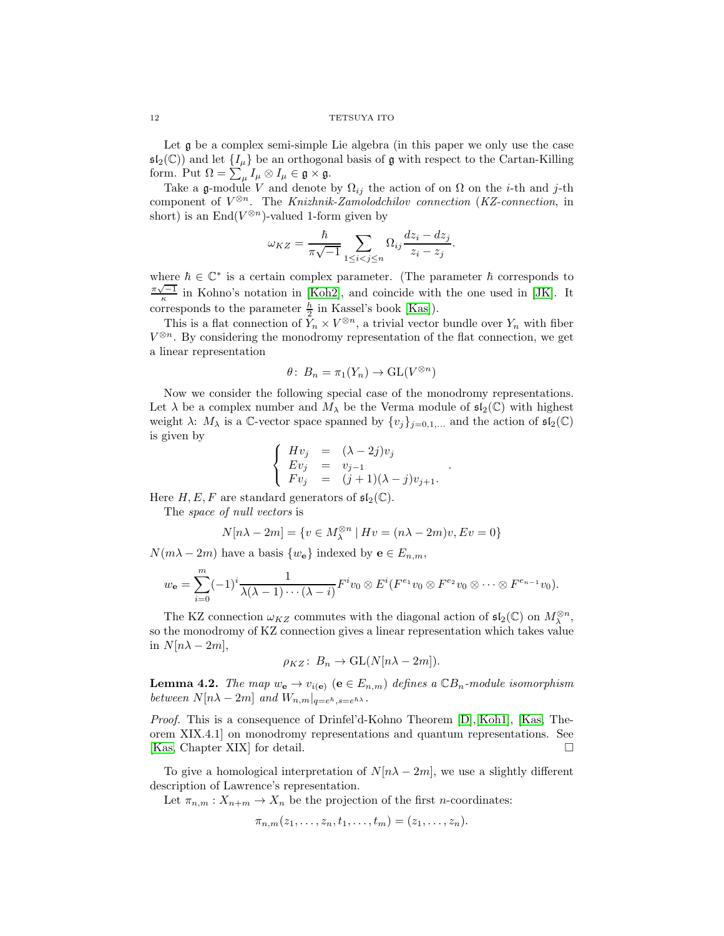Let  $\mathfrak g$  be a complex semi-simple Lie algebra (in this paper we only use the case  $\mathfrak{sl}_2(\mathbb{C})$  and let  $\{I_\mu\}$  be an orthogonal basis of g with respect to the Cartan-Killing form. Put  $\Omega = \sum_{\mu} I_{\mu} \otimes I_{\mu} \in \mathfrak{g} \times \mathfrak{g}$ .

Take a g-module V and denote by  $\Omega_{ij}$  the action of on  $\Omega$  on the *i*-th and *j*-th component of  $V^{\otimes n}$ . The Knizhnik-Zamolodchilov connection (KZ-connection, in short) is an  $End(V^{\otimes n})$ -valued 1-form given by

$$
\omega_{KZ} = \frac{\hbar}{\pi\sqrt{-1}} \sum_{1 \leq i < j \leq n} \Omega_{ij} \frac{dz_i - dz_j}{z_i - z_j}.
$$

where  $h \in \mathbb{C}^*$  is a certain complex parameter. (The parameter  $h$  corresponds to  $\frac{\pi\sqrt{-1}}{\kappa}$  in Kohno's notation in [\[Koh2\]](#page-17-13), and coincide with the one used in [\[JK\]](#page-17-6). It corresponds to the parameter  $\frac{h}{2}$  in Kassel's book [\[Kas\]](#page-17-7)).

This is a flat connection of  $Y_n \times V^{\otimes n}$ , a trivial vector bundle over  $Y_n$  with fiber  $V^{\otimes n}$ . By considering the monodromy representation of the flat connection, we get a linear representation

$$
\theta\colon B_n = \pi_1(Y_n) \to \mathrm{GL}(V^{\otimes n})
$$

Now we consider the following special case of the monodromy representations. Let  $\lambda$  be a complex number and  $M_{\lambda}$  be the Verma module of  $\mathfrak{sl}_2(\mathbb{C})$  with highest weight  $\lambda$ :  $M_{\lambda}$  is a C-vector space spanned by  $\{v_j\}_{j=0,1,...}$  and the action of  $\mathfrak{sl}_2(\mathbb{C})$ is given by

$$
\begin{cases}\nHv_j = (\lambda - 2j)v_j \\
Ev_j = v_{j-1} \\
Fv_j = (j+1)(\lambda - j)v_{j+1}.\n\end{cases}
$$

.

Here  $H, E, F$  are standard generators of  $\mathfrak{sl}_2(\mathbb{C})$ .

The space of null vectors is

$$
N[n\lambda - 2m] = \{v \in M_{\lambda}^{\otimes n} \mid Hv = (n\lambda - 2m)v, Ev = 0\}
$$

 $N(m\lambda - 2m)$  have a basis  $\{w_{\mathbf{e}}\}$  indexed by  $\mathbf{e} \in E_{n,m}$ ,

$$
w_{\mathbf{e}} = \sum_{i=0}^{m} (-1)^{i} \frac{1}{\lambda(\lambda-1)\cdots(\lambda-i)} F^{i} v_{0} \otimes E^{i} (F^{e_{1}} v_{0} \otimes F^{e_{2}} v_{0} \otimes \cdots \otimes F^{e_{n-1}} v_{0}).
$$

The KZ connection  $\omega_{KZ}$  commutes with the diagonal action of  $\mathfrak{sl}_2(\mathbb{C})$  on  $M_\lambda^{\otimes n}$ , so the monodromy of KZ connection gives a linear representation which takes value in  $N[n\lambda - 2m],$ 

$$
\rho_{KZ}\colon B_n \to \mathrm{GL}(N[n\lambda - 2m]).
$$

**Lemma 4.2.** The map  $w_e \to v_{i(e)}$  ( $e \in E_{n,m}$ ) defines a  $\mathbb{C}B_n$ -module isomorphism between  $N[n\lambda-2m]$  and  $W_{n,m}|_{q=e^{\hbar} s=e^{\hbar \lambda}}$ .

Proof. This is a consequence of Drinfel'd-Kohno Theorem [\[D\]](#page-17-14),[\[Koh1\]](#page-17-15), [\[Kas,](#page-17-7) Theorem XIX.4.1] on monodromy representations and quantum representations. See [\[Kas,](#page-17-7) Chapter XIX] for detail.

To give a homological interpretation of  $N[n\lambda-2m]$ , we use a slightly different description of Lawrence's representation.

Let  $\pi_{n,m}: X_{n+m} \to X_n$  be the projection of the first *n*-coordinates:

$$
\pi_{n,m}(z_1,\ldots,z_n,t_1,\ldots,t_m)=(z_1,\ldots,z_n).
$$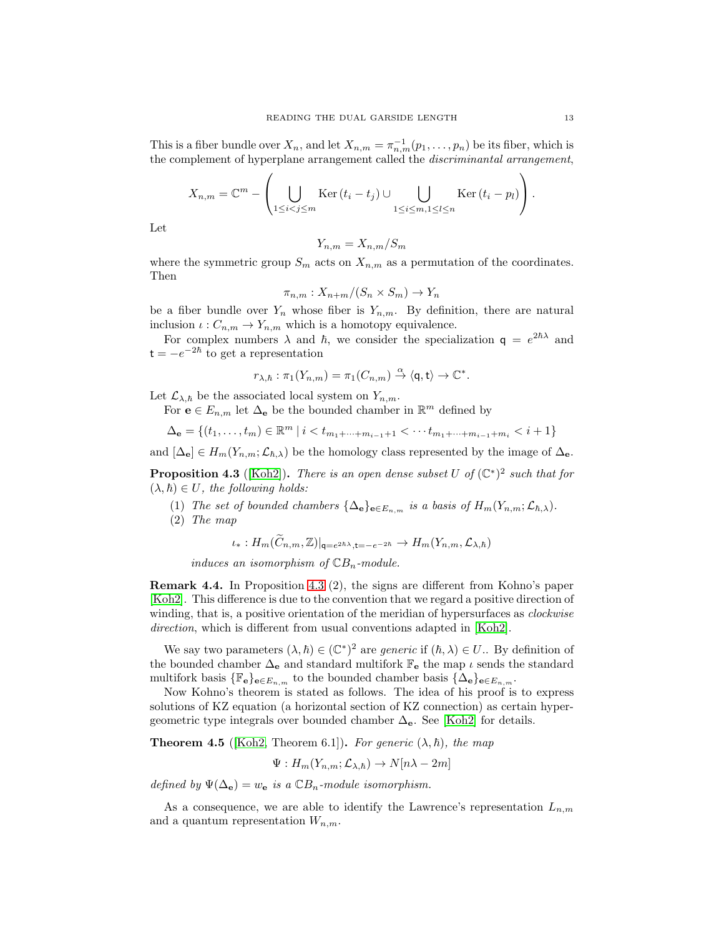This is a fiber bundle over  $X_n$ , and let  $X_{n,m} = \pi_{n,m}^{-1}(p_1, \ldots, p_n)$  be its fiber, which is the complement of hyperplane arrangement called the discriminantal arrangement,

$$
X_{n,m} = \mathbb{C}^m - \left(\bigcup_{1 \leq i < j \leq m} \text{Ker}(t_i - t_j) \cup \bigcup_{1 \leq i \leq m, 1 \leq l \leq n} \text{Ker}(t_i - p_l)\right).
$$

Let

$$
Y_{n,m} = X_{n,m}/S_m
$$

where the symmetric group  $S_m$  acts on  $X_{n,m}$  as a permutation of the coordinates. Then

$$
\pi_{n,m}: X_{n+m}/(S_n \times S_m) \to Y_n
$$

be a fiber bundle over  $Y_n$  whose fiber is  $Y_{n,m}$ . By definition, there are natural inclusion  $\iota: C_{n,m} \to Y_{n,m}$  which is a homotopy equivalence.

For complex numbers  $\lambda$  and  $\hbar$ , we consider the specialization  $q = e^{2\hbar\lambda}$  and  $t = -e^{-2\hbar}$  to get a representation

$$
r_{\lambda,\hbar}:\pi_1(Y_{n,m})=\pi_1(C_{n,m})\stackrel{\alpha}{\to}\langle\mathsf{q},\mathsf{t}\rangle\to\mathbb{C}^*.
$$

Let  $\mathcal{L}_{\lambda,\hbar}$  be the associated local system on  $Y_{n,m}$ .

For  $\mathbf{e} \in E_{n,m}$  let  $\Delta_{\mathbf{e}}$  be the bounded chamber in  $\mathbb{R}^m$  defined by

$$
\Delta_{\mathbf{e}} = \{ (t_1, \ldots, t_m) \in \mathbb{R}^m \mid i < t_{m_1 + \cdots + m_{i-1} + 1} < \cdots t_{m_1 + \cdots + m_{i-1} + m_i} < i + 1 \}
$$

and  $[\Delta_{\mathbf{e}}] \in H_m(Y_{n,m}; \mathcal{L}_{\hbar,\lambda})$  be the homology class represented by the image of  $\Delta_{\mathbf{e}}$ .

<span id="page-12-0"></span>**Proposition 4.3** ([\[Koh2\]](#page-17-13)). There is an open dense subset U of  $(\mathbb{C}^*)^2$  such that for  $(\lambda, \hbar) \in U$ , the following holds:

- (1) The set of bounded chambers  $\{\Delta_{\mathbf{e}}\}_{\mathbf{e}\in E_{n,m}}$  is a basis of  $H_m(Y_{n,m}; \mathcal{L}_{\hbar,\lambda}).$
- (2) The map

$$
\iota_*: H_m(C_{n,m}, \mathbb{Z})|_{\mathsf{q}=e^{2\hbar\lambda}, \mathsf{t}=-e^{-2\hbar}} \to H_m(Y_{n,m}, \mathcal{L}_{\lambda,\hbar})
$$

induces an isomorphism of  $\mathbb{C}B_n$ -module.

Remark 4.4. In Proposition [4.3](#page-12-0) (2), the signs are different from Kohno's paper [\[Koh2\]](#page-17-13). This difference is due to the convention that we regard a positive direction of winding, that is, a positive orientation of the meridian of hypersurfaces as *clockwise* direction, which is different from usual conventions adapted in [\[Koh2\]](#page-17-13).

We say two parameters  $(\lambda, \hbar) \in (\mathbb{C}^*)^2$  are *generic* if  $(\hbar, \lambda) \in U$ . By definition of the bounded chamber  $\Delta_{\mathbf{e}}$  and standard multifork  $\mathbb{F}_{\mathbf{e}}$  the map  $\iota$  sends the standard multifork basis  $\{\mathbb{F}_e\}_{e \in E_{n,m}}$  to the bounded chamber basis  $\{\Delta_e\}_{e \in E_{n,m}}$ .

Now Kohno's theorem is stated as follows. The idea of his proof is to express solutions of KZ equation (a horizontal section of KZ connection) as certain hypergeometric type integrals over bounded chamber  $\Delta_{e}$ . See [\[Koh2\]](#page-17-13) for details.

**Theorem 4.5** ([\[Koh2,](#page-17-13) Theorem 6.1]). For generic  $(\lambda, \hbar)$ , the map

$$
\Psi: H_m(Y_{n,m}; \mathcal{L}_{\lambda,\hbar}) \to N[n\lambda - 2m]
$$

defined by  $\Psi(\Delta_{\mathbf{e}}) = w_{\mathbf{e}}$  is a  $\mathbb{C}B_n$ -module isomorphism.

As a consequence, we are able to identify the Lawrence's representation  $L_{n,m}$ and a quantum representation  $W_{n,m}$ .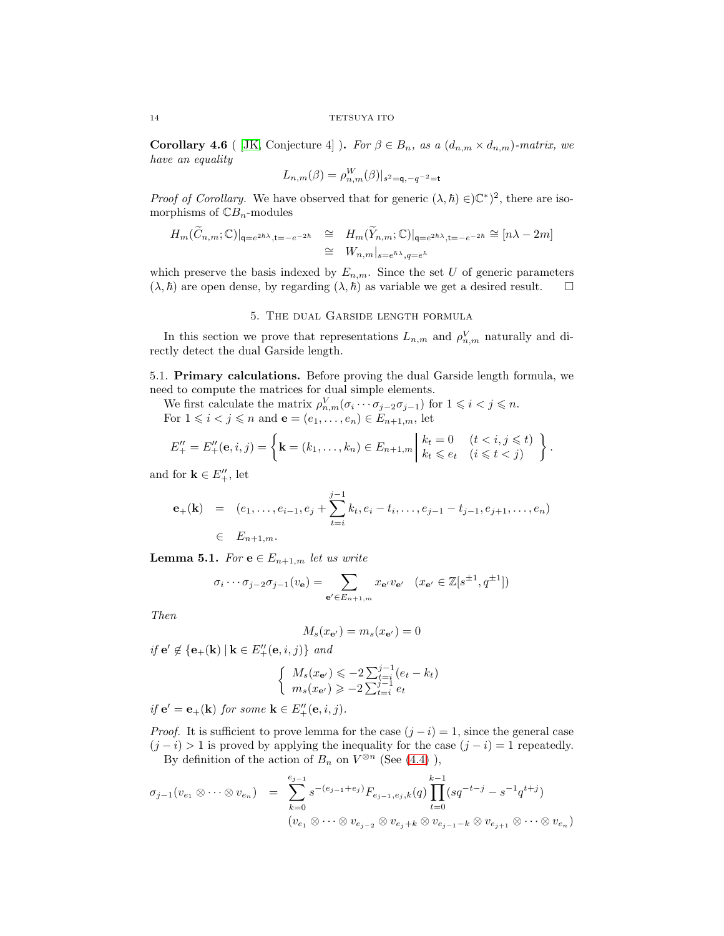<span id="page-13-1"></span>Corollary 4.6 ( [\[JK,](#page-17-6) Conjecture 4] ). For  $\beta \in B_n$ , as a  $(d_{n,m} \times d_{n,m})$ -matrix, we have an equality

$$
L_{n,m}(\beta) = \rho_{n,m}^W(\beta)|_{s^2 = \mathsf{q}, -q^{-2} = \mathsf{t}}
$$

*Proof of Corollary.* We have observed that for generic  $(\lambda, \hbar) \in C^*$ , there are isomorphisms of  $\mathbb{C}B_n$ -modules

$$
H_m(C_{n,m}; \mathbb{C})|_{\mathsf{q}=e^{2\hbar\lambda}, \mathsf{t}=-e^{-2\hbar}} \cong H_m(Y_{n,m}; \mathbb{C})|_{\mathsf{q}=e^{2\hbar\lambda}, \mathsf{t}=-e^{-2\hbar}} \cong [n\lambda - 2m]
$$
  

$$
\cong W_{n,m}|_{s=e^{\hbar\lambda}, \mathsf{q}=e^{\hbar}}
$$

<span id="page-13-0"></span>which preserve the basis indexed by  $E_{n,m}$ . Since the set U of generic parameters  $(\lambda, \hbar)$  are open dense, by regarding  $(\lambda, \hbar)$  as variable we get a desired result.  $\square$ 

## 5. The dual Garside length formula

In this section we prove that representations  $L_{n,m}$  and  $\rho_{n,m}^V$  naturally and directly detect the dual Garside length.

5.1. Primary calculations. Before proving the dual Garside length formula, we need to compute the matrices for dual simple elements.

We first calculate the matrix  $\rho_{n,m}^V(\sigma_i \cdots \sigma_{j-2} \sigma_{j-1})$  for  $1 \leq i < j \leq n$ . For  $1 \leq i \leq j \leq n$  and  $\mathbf{e} = (e_1, \ldots, e_n) \in E_{n+1,m}$ , let

$$
E''_+ = E''_+(\mathbf{e}, i, j) = \left\{ \mathbf{k} = (k_1, \dots, k_n) \in E_{n+1,m} \middle| \begin{array}{l} k_t = 0 & (t < i, j \leq t) \\ k_t \leq e_t & (i \leq t < j) \end{array} \right\}.
$$

and for  $\mathbf{k} \in E_+^{\prime\prime}$ , let

$$
\mathbf{e}_{+}(\mathbf{k}) = (e_{1}, \ldots, e_{i-1}, e_{j} + \sum_{t=i}^{j-1} k_{t}, e_{i} - t_{i}, \ldots, e_{j-1} - t_{j-1}, e_{j+1}, \ldots, e_{n})
$$
  

$$
\in E_{n+1,m}.
$$

<span id="page-13-2"></span>**Lemma 5.1.** For  $e \in E_{n+1,m}$  let us write

$$
\sigma_i \cdots \sigma_{j-2} \sigma_{j-1} (v_\mathbf{e}) = \sum_{\mathbf{e}' \in E_{n+1,m}} x_{\mathbf{e}'} v_{\mathbf{e}'} \quad (x_{\mathbf{e}'} \in \mathbb{Z}[s^{\pm 1}, q^{\pm 1}])
$$

Then

$$
M_s(x_{\mathbf{e}'})=m_s(x_{\mathbf{e}'})=0
$$

if  $e' \notin \{e_+(\mathbf{k}) \mid \mathbf{k} \in E''_+(\mathbf{e}, i, j)\}\$ and

$$
\begin{cases} M_s(x_{\mathbf{e}'}) \leqslant -2\sum_{t=i}^{j-1} (e_t - k_t) \\ m_s(x_{\mathbf{e}'}) \geqslant -2\sum_{t=i}^{j-1} e_t \end{cases}
$$

if  $e' = e_+(k)$  for some  $k \in E''_+(e, i, j)$ .

*Proof.* It is sufficient to prove lemma for the case  $(j - i) = 1$ , since the general case  $(j - i) > 1$  is proved by applying the inequality for the case  $(j - i) = 1$  repeatedly. By definition of the action of  $B_n$  on  $V^{\otimes n}$  (See [\(4.4\)](#page-8-3)),

$$
\sigma_{j-1}(v_{e_1} \otimes \cdots \otimes v_{e_n}) = \sum_{k=0}^{e_{j-1}} s^{-(e_{j-1}+e_j)} F_{e_{j-1},e_j,k}(q) \prod_{t=0}^{k-1} (sq^{-t-j} - s^{-1}q^{t+j})
$$
  

$$
(v_{e_1} \otimes \cdots \otimes v_{e_{j-2}} \otimes v_{e_j+k} \otimes v_{e_{j-1}-k} \otimes v_{e_{j+1}} \otimes \cdots \otimes v_{e_n})
$$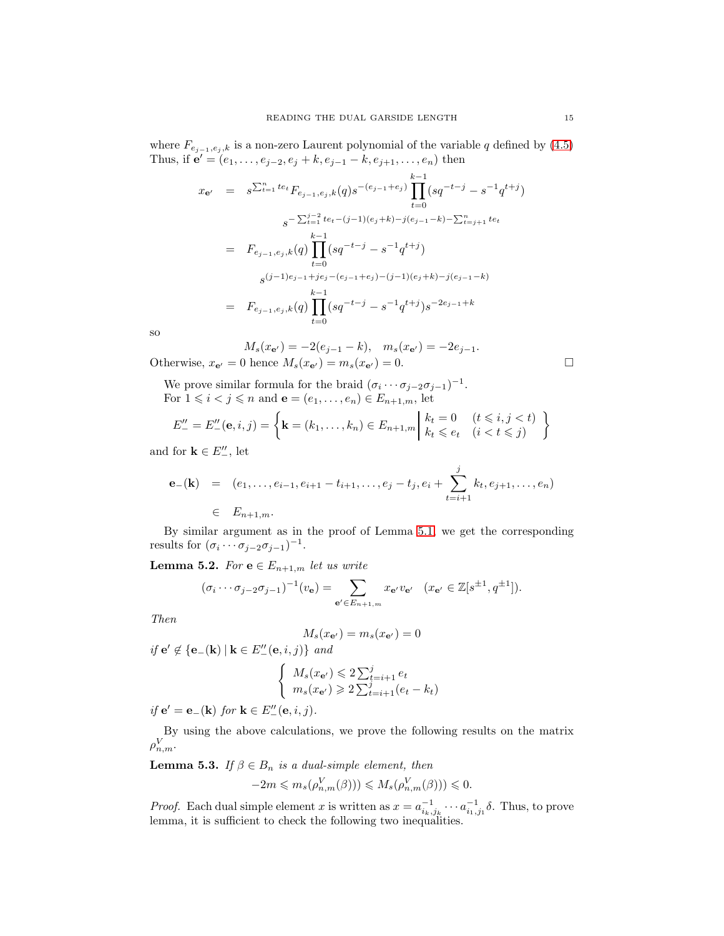where  $F_{e_{j-1},e_j,\boldsymbol{k}}$  is a non-zero Laurent polynomial of the variable  $q$  defined by  $(4.5)$ Thus, if  $e' = (e_1, \ldots, e_{j-2}, e_j + k, e_{j-1} - k, e_{j+1}, \ldots, e_n)$  then

$$
x_{e'} = s^{\sum_{t=1}^{n} te_{t}} F_{e_{j-1}, e_{j}, k}(q) s^{-(e_{j-1}+e_{j})} \prod_{t=0}^{k-1} (sq^{-t-j} - s^{-1} q^{t+j})
$$
  
\n
$$
s^{-\sum_{t=1}^{j-2} te_{t} - (j-1)(e_{j}+k) - j(e_{j-1}-k) - \sum_{t=j+1}^{n} te_{t}}
$$
  
\n
$$
= F_{e_{j-1}, e_{j}, k}(q) \prod_{t=0}^{k-1} (sq^{-t-j} - s^{-1} q^{t+j})
$$
  
\n
$$
s^{(j-1)e_{j-1}+je_{j}-(e_{j-1}+e_{j}) - (j-1)(e_{j}+k) - j(e_{j-1}-k)}
$$
  
\n
$$
= F_{e_{j-1}, e_{j}, k}(q) \prod_{t=0}^{k-1} (sq^{-t-j} - s^{-1} q^{t+j}) s^{-2e_{j-1}+k}
$$

so

$$
M_s(x_{\mathbf{e}'}) = -2(e_{j-1} - k), \quad m_s(x_{\mathbf{e}'}) = -2e_{j-1}.
$$
  
0 hence  $M_s(x_{\mathbf{e}'}) = m_s(x_{\mathbf{e}'}) = 0.$ 

Otherwise,  $x_{\mathbf{e}'} = 0$  hence  $M_s(x_{\mathbf{e}'}) = m_s(x_{\mathbf{e}'}) = 0$ .

We prove similar formula for the braid  $(\sigma_i \cdots \sigma_{j-2} \sigma_{j-1})^{-1}$ . For  $1 \leq i < j \leq n$  and  $\mathbf{e} = (e_1, \ldots, e_n) \in E_{n+1,m}$ , let

$$
E''_{-} = E''_{-}(\mathbf{e}, i, j) = \left\{ \mathbf{k} = (k_1, \dots, k_n) \in E_{n+1,m} \middle| \begin{array}{l} k_t = 0 & (t \leq i, j < t) \\ k_t \leq e_t & (i < t \leq j) \end{array} \right\}
$$

and for  $\mathbf{k} \in E''_{-}$ , let

$$
\mathbf{e}_{-}(\mathbf{k}) = (e_1, \ldots, e_{i-1}, e_{i+1} - t_{i+1}, \ldots, e_j - t_j, e_i + \sum_{t=i+1}^j k_t, e_{j+1}, \ldots, e_n)
$$
  

$$
\in E_{n+1,m}.
$$

By similar argument as in the proof of Lemma [5.1,](#page-13-2) we get the corresponding results for  $(\sigma_i \cdots \sigma_{j-2} \sigma_{j-1})^{-1}$ .

<span id="page-14-0"></span>**Lemma 5.2.** For  $e \in E_{n+1,m}$  let us write

$$
(\sigma_i \cdots \sigma_{j-2} \sigma_{j-1})^{-1}(v_\mathbf{e}) = \sum_{\mathbf{e}' \in E_{n+1,m}} x_{\mathbf{e}'} v_{\mathbf{e}'} \quad (x_{\mathbf{e}'} \in \mathbb{Z}[s^{\pm 1}, q^{\pm 1}]).
$$

Then

$$
M_s(x_{\mathbf{e}'}) = m_s(x_{\mathbf{e}'}) = 0
$$

*if* **e**<sup> $\prime$ </sup> ∉ {**e**<sub>−</sub>(**k**) | **k** ∈  $E''_-($ **e**, *i*, *j*)} and  $\int M_s(x_{\mathbf{e}'}) \leqslant 2 \sum_{t=i+1}^j e_t$  $m_s(x_{e'}) \geq 2 \sum_{t=i+1}^{j} (e_t - k_t)$ 

if  $e' = e_-(\mathbf{k})$  for  $\mathbf{k} \in E''_-(e, i, j)$ .

By using the above calculations, we prove the following results on the matrix  $\rho_{n,m}^V$ .

<span id="page-14-1"></span>**Lemma 5.3.** If  $\beta \in B_n$  is a dual-simple element, then  $-2m \leqslant m_s(\rho_{n,m}^V(\beta))) \leqslant M_s(\rho_{n,m}^V(\beta))) \leqslant 0.$ 

*Proof.* Each dual simple element x is written as  $x = a_{i_k,j_k}^{-1} \cdots a_{i_1,j_1}^{-1} \delta$ . Thus, to prove lemma, it is sufficient to check the following two inequalities.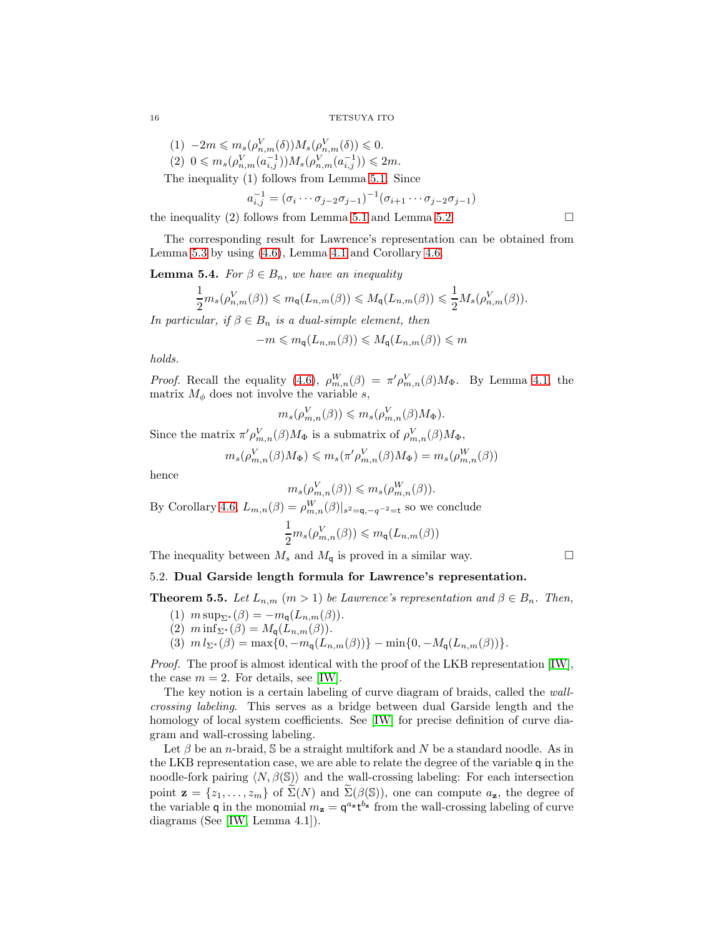$$
(1) \t-2m \leqslant m_s(\rho_{n,m}^V(\delta))M_s(\rho_{n,m}^V(\delta)) \leqslant 0.
$$
  

$$
(2) \t0 \leqslant m_s(\rho_{n,m}^V(a_{i,j}^{-1}))M_s(\rho_{n,m}^V(a_{i,j}^{-1})) \leqslant 2m.
$$

The inequality (1) follows from Lemma [5.1.](#page-13-2) Since

$$
a_{i,j}^{-1} = (\sigma_i \cdots \sigma_{j-2} \sigma_{j-1})^{-1} (\sigma_{i+1} \cdots \sigma_{j-2} \sigma_{j-1})
$$

the inequality (2) follows from Lemma [5.1](#page-13-2) and Lemma [5.2.](#page-14-0)

The corresponding result for Lawrence's representation can be obtained from Lemma [5.3](#page-14-1) by using [\(4.6\)](#page-9-0), Lemma [4.1](#page-10-0) and Corollary [4.6.](#page-13-1)

<span id="page-15-2"></span>**Lemma 5.4.** For  $\beta \in B_n$ , we have an inequality

$$
\frac{1}{2}m_s(\rho_{n,m}^V(\beta)) \leqslant m_{\mathsf{q}}(L_{n,m}(\beta)) \leqslant M_{\mathsf{q}}(L_{n,m}(\beta)) \leqslant \frac{1}{2}M_s(\rho_{n,m}^V(\beta)).
$$

In particular, if  $\beta \in B_n$  is a dual-simple element, then

$$
-m \leqslant m_{\mathsf{q}}(L_{n,m}(\beta)) \leqslant M_{\mathsf{q}}(L_{n,m}(\beta)) \leqslant m
$$

holds.

*Proof.* Recall the equality [\(4.6\)](#page-9-0),  $\rho_{m,n}^W(\beta) = \pi' \rho_{m,n}^V(\beta) M_{\Phi}$ . By Lemma [4.1,](#page-10-0) the matrix  $M_{\phi}$  does not involve the variable s,

$$
m_s(\rho_{m,n}^V(\beta)) \leqslant m_s(\rho_{m,n}^V(\beta)M_\Phi).
$$

Since the matrix  $\pi' \rho_{m,n}^V(\beta) M_{\Phi}$  is a submatrix of  $\rho_{m,n}^V(\beta) M_{\Phi}$ ,

$$
m_s(\rho_{m,n}^V(\beta)M_{\Phi}) \leqslant m_s(\pi'\rho_{m,n}^V(\beta)M_{\Phi}) = m_s(\rho_{m,n}^W(\beta))
$$

hence

$$
m_s(\rho_{m,n}^V(\beta)) \leqslant m_s(\rho_{m,n}^W(\beta)).
$$

By Corollary [4.6,](#page-13-1)  $L_{m,n}(\beta) = \rho_{m,n}^W(\beta)|_{s^2 = \mathbf{q}, -q^{-2} = \mathbf{t}}$  so we conclude

$$
\frac{1}{2}m_s(\rho_{m,n}^V(\beta)) \leq m_{\mathsf{q}}(L_{n,m}(\beta))
$$

<span id="page-15-1"></span>The inequality between  $M_s$  and  $M_q$  is proved in a similar way.  $\Box$ 

## 5.2. Dual Garside length formula for Lawrence's representation.

<span id="page-15-0"></span>**Theorem 5.5.** Let  $L_{n,m}$   $(m > 1)$  be Lawrence's representation and  $\beta \in B_n$ . Then,

- (1)  $m \sup_{\Sigma^*} (\beta) = -m_q(L_{n,m}(\beta)).$
- (2)  $m \inf_{\Sigma^*} (\beta) = M_{\mathsf{q}}(L_{n,m}(\beta)).$
- (3)  $m l_{\Sigma^*}(\beta) = \max\{0, -m_{\mathbf{q}}(L_{n,m}(\beta))\} \min\{0, -M_{\mathbf{q}}(L_{n,m}(\beta))\}.$

Proof. The proof is almost identical with the proof of the LKB representation [\[IW\]](#page-17-1), the case  $m = 2$ . For details, see [\[IW\]](#page-17-1).

The key notion is a certain labeling of curve diagram of braids, called the wallcrossing labeling. This serves as a bridge between dual Garside length and the homology of local system coefficients. See [\[IW\]](#page-17-1) for precise definition of curve diagram and wall-crossing labeling.

Let  $\beta$  be an *n*-braid, S be a straight multifork and N be a standard noodle. As in the LKB representation case, we are able to relate the degree of the variable q in the noodle-fork pairing  $\langle N, \beta(S) \rangle$  and the wall-crossing labeling: For each intersection point  $\mathbf{z} = \{z_1, \ldots, z_m\}$  of  $\Sigma(N)$  and  $\Sigma(\beta(\mathbb{S}))$ , one can compute  $a_{\mathbf{z}}$ , the degree of the variable q in the monomial  $m_z = \mathsf{q}^{a_z} \mathsf{t}^{b_z}$  from the wall-crossing labeling of curve diagrams (See [\[IW,](#page-17-1) Lemma 4.1]).

$$
16\,
$$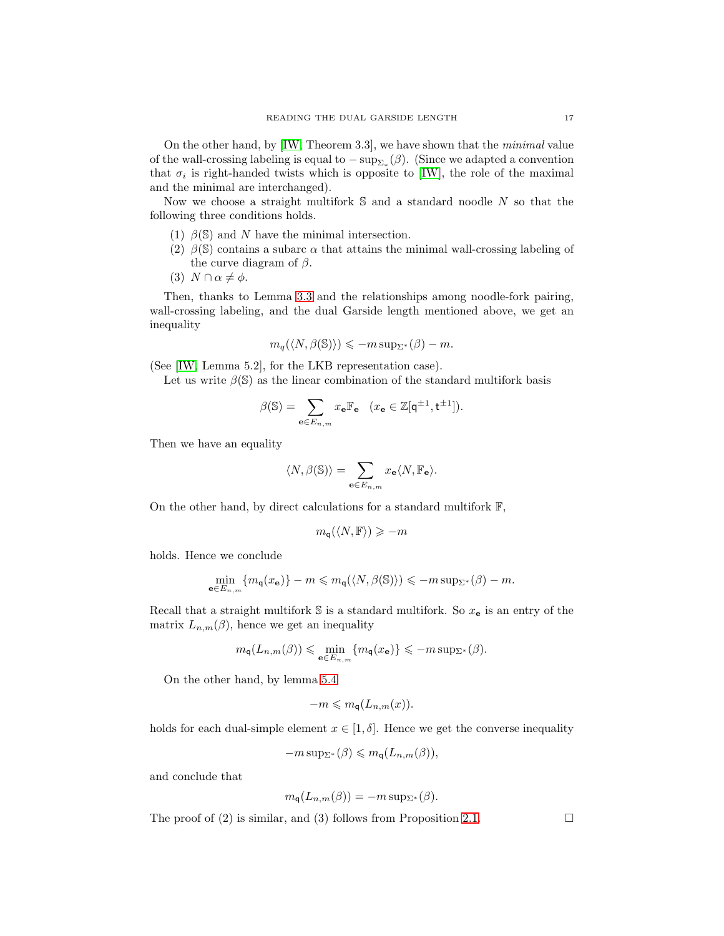On the other hand, by [\[IW,](#page-17-1) Theorem 3.3], we have shown that the minimal value of the wall-crossing labeling is equal to  $-\sup_{\Sigma_*}(\beta)$ . (Since we adapted a convention that  $\sigma_i$  is right-handed twists which is opposite to [\[IW\]](#page-17-1), the role of the maximal and the minimal are interchanged).

Now we choose a straight multifork  $S$  and a standard noodle  $N$  so that the following three conditions holds.

- (1)  $\beta$ (S) and N have the minimal intersection.
- (2)  $\beta$ (S) contains a subarc  $\alpha$  that attains the minimal wall-crossing labeling of the curve diagram of  $\beta$ .
- (3)  $N \cap \alpha \neq \phi$ .

Then, thanks to Lemma [3.3](#page-7-1) and the relationships among noodle-fork pairing, wall-crossing labeling, and the dual Garside length mentioned above, we get an inequality

$$
m_q(\langle N, \beta(\mathbb{S}) \rangle) \le -m \sup_{\Sigma^*} (\beta) - m.
$$

(See [\[IW,](#page-17-1) Lemma 5.2], for the LKB representation case).

Let us write  $\beta(\mathbb{S})$  as the linear combination of the standard multifork basis

$$
\beta(\mathbb{S})=\sum_{\mathbf{e}\in E_{n,m}}x_{\mathbf{e}}\mathbb{F}_{\mathbf{e}}\quad(x_{\mathbf{e}}\in\mathbb{Z}[\mathbf{q}^{\pm 1},\mathbf{t}^{\pm 1}]).
$$

Then we have an equality

$$
\langle N, \beta(\mathbb{S}) \rangle = \sum_{\mathbf{e} \in E_{n,m}} x_{\mathbf{e}} \langle N, \mathbb{F}_{\mathbf{e}} \rangle.
$$

On the other hand, by direct calculations for a standard multifork  $\mathbb{F}$ ,

$$
m_{\mathsf{q}}(\langle N,\mathbb{F}\rangle) \geqslant -m
$$

holds. Hence we conclude

$$
\min_{\mathbf{e}\in E_{n,m}} \{m_{\mathbf{q}}(x_{\mathbf{e}})\} - m \leqslant m_{\mathbf{q}}(\langle N, \beta(\mathbb{S})\rangle) \leqslant -m \sup_{\Sigma^*} (\beta) - m.
$$

Recall that a straight multifork  $\mathbb S$  is a standard multifork. So  $x_e$  is an entry of the matrix  $L_{n,m}(\beta)$ , hence we get an inequality

$$
m_{\mathbf{q}}(L_{n,m}(\beta)) \leq \min_{\mathbf{e} \in E_{n,m}} \{m_{\mathbf{q}}(x_{\mathbf{e}})\} \leq -m \operatorname{sup}_{\Sigma^*}(\beta).
$$

On the other hand, by lemma [5.4](#page-15-2)

$$
-m \leqslant m_{\mathbf{q}}(L_{n,m}(x)).
$$

holds for each dual-simple element  $x \in [1, \delta]$ . Hence we get the converse inequality

$$
-m\sup_{\Sigma^*}(\beta)\leqslant m_{\mathsf{q}}(L_{n,m}(\beta)),
$$

and conclude that

$$
m_{\mathsf{q}}(L_{n,m}(\beta)) = -m \operatorname{sup}_{\Sigma^*}(\beta).
$$

The proof of (2) is similar, and (3) follows from Proposition [2.1.](#page-3-1)  $\Box$